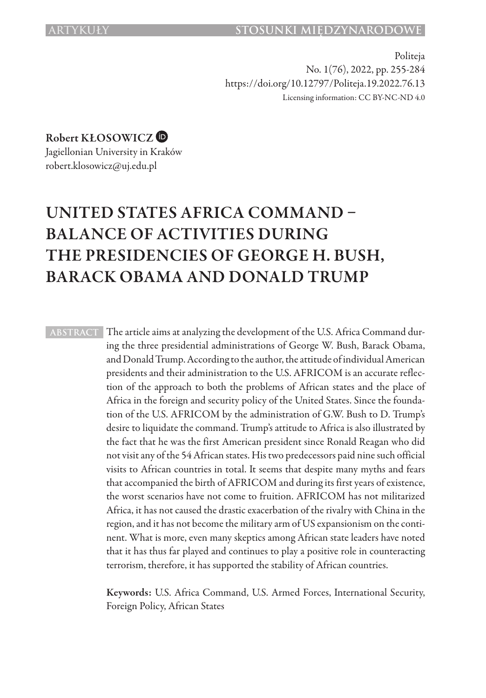Politeja No. 1(76), 2022, pp. 255-284 https://doi.org/10.12797/Politeja.19.2022.76.13 Licensing information: CC BY-NC-ND 4.0

Robert KŁOSOWICZ

Jagiellonian University in Kraków robert.klosowicz@uj.edu.pl

# UNITED STATES AFRICA COMMAND – BALANCE OF ACTIVITIES DURING THE PRESIDENCIES OF GEORGE H. BUSH, BARACK OBAMA AND DONALD TRUMP

**ABSTRACT** The article aims at analyzing the development of the U.S. Africa Command during the three presidential administrations of George W. Bush, Barack Obama, and Donald Trump. According to the author, the attitude of individual American presidents and their administration to the U.S. AFRICOM is an accurate reflection of the approach to both the problems of African states and the place of Africa in the foreign and security policy of the United States. Since the foundation of the U.S. AFRICOM by the administration of G.W. Bush to D. Trump's desire to liquidate the command. Trump's attitude to Africa is also illustrated by the fact that he was the first American president since Ronald Reagan who did not visit any of the 54 African states. His two predecessors paid nine such official visits to African countries in total. It seems that despite many myths and fears that accompanied the birth of AFRICOM and during its first years of existence, the worst scenarios have not come to fruition. AFRICOM has not militarized Africa, it has not caused the drastic exacerbation of the rivalry with China in the region, and it has not become the military arm of US expansionism on the continent. What is more, even many skeptics among African state leaders have noted that it has thus far played and continues to play a positive role in counteracting terrorism, therefore, it has supported the stability of African countries.

> Keywords: U.S. Africa Command, U.S. Armed Forces, International Security, Foreign Policy, African States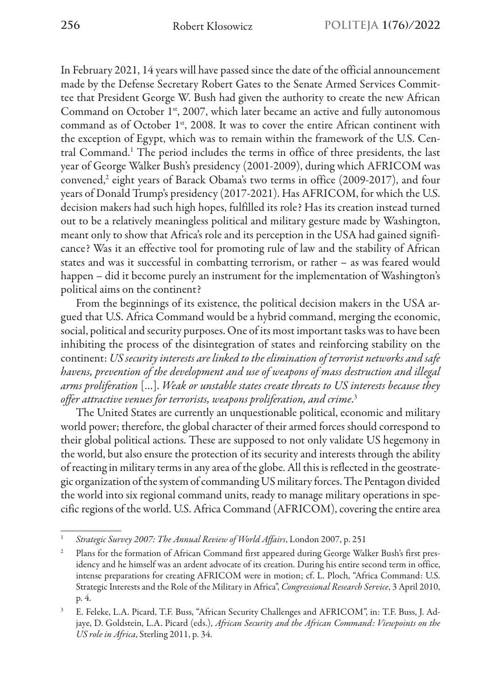In February 2021, 14 years will have passed since the date of the official announcement made by the Defense Secretary Robert Gates to the Senate Armed Services Committee that President George W. Bush had given the authority to create the new African Command on October 1<sup>st</sup>, 2007, which later became an active and fully autonomous command as of October 1<sup>st</sup>, 2008. It was to cover the entire African continent with the exception of Egypt, which was to remain within the framework of the U.S. Central Command.<sup>1</sup> The period includes the terms in office of three presidents, the last year of George Walker Bush's presidency (2001-2009), during which AFRICOM was convened,<sup>2</sup> eight years of Barack Obama's two terms in office (2009-2017), and four years of Donald Trump's presidency (2017-2021). Has AFRICOM, for which the U.S. decision makers had such high hopes, fulfilled its role? Has its creation instead turned out to be a relatively meaningless political and military gesture made by Washington, meant only to show that Africa's role and its perception in the USA had gained significance? Was it an effective tool for promoting rule of law and the stability of African states and was it successful in combatting terrorism, or rather – as was feared would happen – did it become purely an instrument for the implementation of Washington's political aims on the continent?

From the beginnings of its existence, the political decision makers in the USA argued that U.S. Africa Command would be a hybrid command, merging the economic, social, political and security purposes. One of its most important tasks was to have been inhibiting the process of the disintegration of states and reinforcing stability on the continent: *US security interests are linked to the elimination of terrorist networks and safe havens, prevention of the development and use of weapons of mass destruction and illegal arms proliferation* […]. *Weak or unstable states create threats to US interests because they offer attractive venues for terrorists, weapons proliferation, and crime*. 3

The United States are currently an unquestionable political, economic and military world power; therefore, the global character of their armed forces should correspond to their global political actions. These are supposed to not only validate US hegemony in the world, but also ensure the protection of its security and interests through the ability of reacting in military terms in any area of the globe. All this is reflected in the geostrategic organization of the system of commanding US military forces. The Pentagon divided the world into six regional command units, ready to manage military operations in specific regions of the world. U.S. Africa Command (AFRICOM), covering the entire area

<sup>1</sup> *Strategic Survey 2007: The Annual Review of World Affairs*, London 2007, p. 251

<sup>&</sup>lt;sup>2</sup> Plans for the formation of African Command first appeared during George Walker Bush's first presidency and he himself was an ardent advocate of its creation. During his entire second term in office, intense preparations for creating AFRICOM were in motion; cf. L. Ploch, "Africa Command: U.S. Strategic Interests and the Role of the Military in Africa", *Congressional Research Service*, 3 April 2010, p. 4.

<sup>3</sup> E. Feleke, L.A. Picard, T.F. Buss, "African Security Challenges and AFRICOM", in: T.F. Buss, J. Adjaye, D. Goldstein, L.A. Picard (eds.), *African Security and the African Command: Viewpoints on the US role in Africa*, Sterling 2011, p. 34.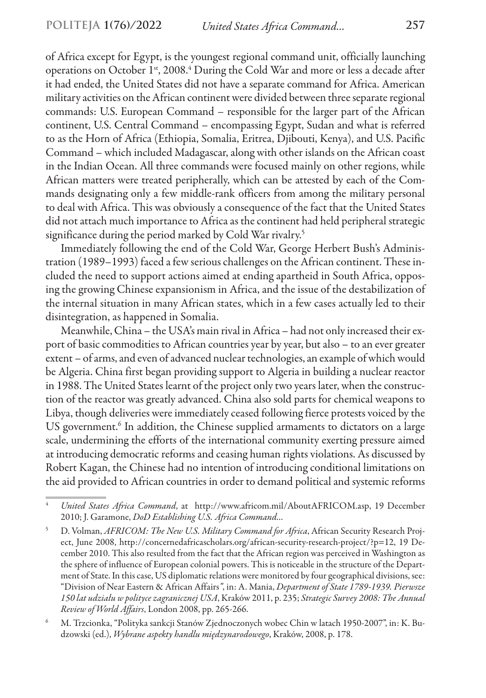of Africa except for Egypt, is the youngest regional command unit, officially launching operations on October 1<sup>st</sup>, 2008.<sup>4</sup> During the Cold War and more or less a decade after it had ended, the United States did not have a separate command for Africa. American military activities on the African continent were divided between three separate regional commands: U.S. European Command *–* responsible for the larger part of the African continent, U.S. Central Command – encompassing Egypt, Sudan and what is referred to as the Horn of Africa (Ethiopia, Somalia, Eritrea, Djibouti, Kenya), and U.S. Pacific Command – which included Madagascar, along with other islands on the African coast in the Indian Ocean. All three commands were focused mainly on other regions, while African matters were treated peripherally, which can be attested by each of the Commands designating only a few middle-rank officers from among the military personal to deal with Africa. This was obviously a consequence of the fact that the United States did not attach much importance to Africa as the continent had held peripheral strategic significance during the period marked by Cold War rivalry.<sup>5</sup>

Immediately following the end of the Cold War, George Herbert Bush's Administration (1989–1993) faced a few serious challenges on the African continent. These included the need to support actions aimed at ending apartheid in South Africa, opposing the growing Chinese expansionism in Africa, and the issue of the destabilization of the internal situation in many African states, which in a few cases actually led to their disintegration, as happened in Somalia.

Meanwhile, China – the USA's main rival in Africa – had not only increased their export of basic commodities to African countries year by year, but also – to an ever greater extent – of arms, and even of advanced nuclear technologies, an example of which would be Algeria. China first began providing support to Algeria in building a nuclear reactor in 1988. The United States learnt of the project only two years later, when the construction of the reactor was greatly advanced. China also sold parts for chemical weapons to Libya, though deliveries were immediately ceased following fierce protests voiced by the US government.<sup>6</sup> In addition, the Chinese supplied armaments to dictators on a large scale, undermining the efforts of the international community exerting pressure aimed at introducing democratic reforms and ceasing human rights violations. As discussed by Robert Kagan, the Chinese had no intention of introducing conditional limitations on the aid provided to African countries in order to demand political and systemic reforms

<sup>4</sup> *United States Africa Command*, at http://www.africom.mil/AboutAFRICOM.asp, 19 December 2010; J. Garamone, *DoD Establishing U.S. Africa Command…*

<sup>5</sup> D. Volman, *AFRICOM: The New U.S. Military Command for Africa*, African Security Research Project, June 2008, http://concernedafricascholars.org/african-security-research-project/?p=12, 19 December 2010. This also resulted from the fact that the African region was perceived in Washington as the sphere of influence of European colonial powers. This is noticeable in the structure of the Department of State. In this case, US diplomatic relations were monitored by four geographical divisions, see: "Division of Near Eastern & African Affairs*"*, in: A. Mania, *Department of State 1789-1939. Pierwsze 150 lat udziału w polityce zagranicznej USA*, Kraków 2011, p. 235; *Strategic Survey 2008: The Annual Review of World Affairs*, London 2008, pp. 265-266.

<sup>6</sup> M. Trzcionka, "Polityka sankcji Stanów Zjednoczonych wobec Chin w latach 1950-2007", in: K. Budzowski (ed.), *Wybrane aspekty handlu międzynarodowego*, Kraków, 2008, p. 178.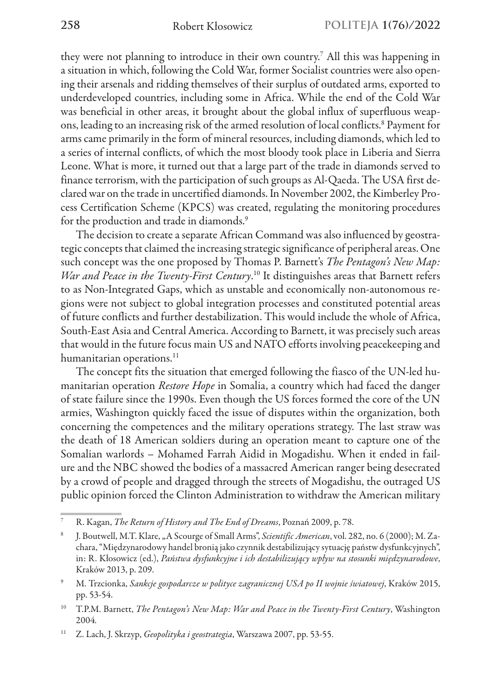they were not planning to introduce in their own country.<sup>7</sup> All this was happening in a situation in which, following the Cold War, former Socialist countries were also opening their arsenals and ridding themselves of their surplus of outdated arms, exported to underdeveloped countries, including some in Africa. While the end of the Cold War was beneficial in other areas, it brought about the global influx of superfluous weapons, leading to an increasing risk of the armed resolution of local conflicts.<sup>8</sup> Payment for arms came primarily in the form of mineral resources, including diamonds, which led to a series of internal conflicts, of which the most bloody took place in Liberia and Sierra Leone. What is more, it turned out that a large part of the trade in diamonds served to finance terrorism, with the participation of such groups as Al-Qaeda. The USA first declared war on the trade in uncertified diamonds. In November 2002, the Kimberley Process Certification Scheme (KPCS) was created, regulating the monitoring procedures for the production and trade in diamonds.<sup>9</sup>

The decision to create a separate African Command was also influenced by geostrategic concepts that claimed the increasing strategic significance of peripheral areas. One such concept was the one proposed by Thomas P. Barnett's *The Pentagon's New Map: War and Peace in the Twenty-First Century*. 10 It distinguishes areas that Barnett refers to as Non-Integrated Gaps, which as unstable and economically non-autonomous regions were not subject to global integration processes and constituted potential areas of future conflicts and further destabilization. This would include the whole of Africa, South-East Asia and Central America. According to Barnett, it was precisely such areas that would in the future focus main US and NATO efforts involving peacekeeping and humanitarian operations.<sup>11</sup>

The concept fits the situation that emerged following the fiasco of the UN-led humanitarian operation *Restore Hope* in Somalia, a country which had faced the danger of state failure since the 1990s. Even though the US forces formed the core of the UN armies, Washington quickly faced the issue of disputes within the organization, both concerning the competences and the military operations strategy. The last straw was the death of 18 American soldiers during an operation meant to capture one of the Somalian warlords – Mohamed Farrah Aidid in Mogadishu. When it ended in failure and the NBC showed the bodies of a massacred American ranger being desecrated by a crowd of people and dragged through the streets of Mogadishu, the outraged US public opinion forced the Clinton Administration to withdraw the American military

<sup>7</sup> R. Kagan, *The Return of History and The End of Dreams*, Poznań 2009, p. 78.

<sup>8</sup> J. Boutwell, M.T. Klare, "A Scourge of Small Arms", *Scientific American*, vol. 282, no. 6 (2000); M. Zachara, "Międzynarodowy handel bronią jako czynnik destabilizujący sytuację państw dysfunkcyjnych", in: R. Kłosowicz (ed.), *Państwa dysfunkcyjne i ich destabilizujący wpływ na stosunki międzynarodowe*, Kraków 2013, p. 209.

<sup>9</sup> M. Trzcionka, *Sankcje gospodarcze w polityce zagranicznej USA po II wojnie światowej*, Kraków 2015, pp. 53-54.

<sup>10</sup> T.P.M. Barnett, *The Pentagon's New Map: War and Peace in the Twenty-First Century*, Washington 2004*.*

<sup>11</sup> Z. Lach, J. Skrzyp, *Geopolityka i geostrategia*, Warszawa 2007, pp. 53-55.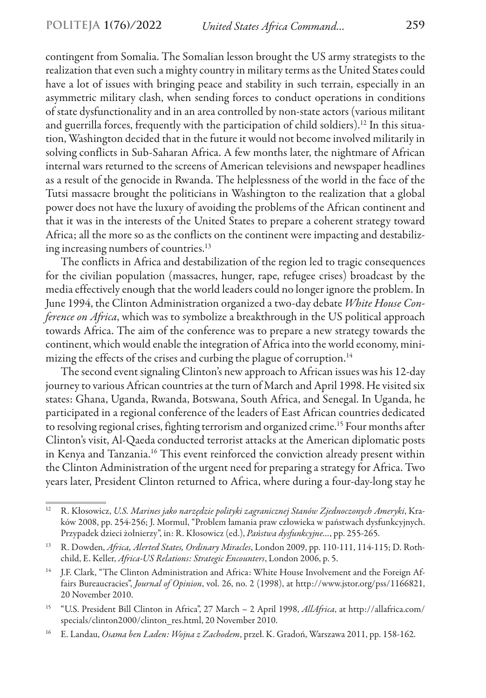contingent from Somalia. The Somalian lesson brought the US army strategists to the realization that even such a mighty country in military terms as the United States could have a lot of issues with bringing peace and stability in such terrain, especially in an asymmetric military clash, when sending forces to conduct operations in conditions of state dysfunctionality and in an area controlled by non-state actors (various militant and guerrilla forces, frequently with the participation of child soldiers).<sup>12</sup> In this situation, Washington decided that in the future it would not become involved militarily in solving conflicts in Sub-Saharan Africa. A few months later, the nightmare of African internal wars returned to the screens of American televisions and newspaper headlines as a result of the genocide in Rwanda. The helplessness of the world in the face of the Tutsi massacre brought the politicians in Washington to the realization that a global power does not have the luxury of avoiding the problems of the African continent and that it was in the interests of the United States to prepare a coherent strategy toward Africa; all the more so as the conflicts on the continent were impacting and destabilizing increasing numbers of countries.13

The conflicts in Africa and destabilization of the region led to tragic consequences for the civilian population (massacres, hunger, rape, refugee crises) broadcast by the media effectively enough that the world leaders could no longer ignore the problem. In June 1994, the Clinton Administration organized a two-day debate *White House Conference on Africa*, which was to symbolize a breakthrough in the US political approach towards Africa. The aim of the conference was to prepare a new strategy towards the continent, which would enable the integration of Africa into the world economy, minimizing the effects of the crises and curbing the plague of corruption.<sup>14</sup>

The second event signaling Clinton's new approach to African issues was his 12-day journey to various African countries at the turn of March and April 1998. He visited six states: Ghana, Uganda, Rwanda, Botswana, South Africa, and Senegal. In Uganda, he participated in a regional conference of the leaders of East African countries dedicated to resolving regional crises, fighting terrorism and organized crime.<sup>15</sup> Four months after Clinton's visit, Al-Qaeda conducted terrorist attacks at the American diplomatic posts in Kenya and Tanzania.16 This event reinforced the conviction already present within the Clinton Administration of the urgent need for preparing a strategy for Africa. Two years later, President Clinton returned to Africa, where during a four-day-long stay he

<sup>12</sup> R. Kłosowicz, *U.S. Marines jako narzędzie polityki zagranicznej Stanów Zjednoczonych Ameryki*, Kraków 2008, pp. 254-256; J. Mormul, "Problem łamania praw człowieka w państwach dysfunkcyjnych. Przypadek dzieci żołnierzy", in: R. Kłosowicz (ed.), *Państwa dysfunkcyjne…*, pp. 255-265.

<sup>13</sup> R. Dowden, *Africa, Alerted States, Ordinary Miracles*, London 2009, pp. 110-111, 114-115; D. Rothchild, E. Keller, *Africa-US Relations: Strategic Encounters*, London 2006, p. 5.

<sup>&</sup>lt;sup>14</sup> J.F. Clark, "The Clinton Administration and Africa: White House Involvement and the Foreign Affairs Bureaucracies", *Journal of Opinion*, vol. 26, no. 2 (1998), at http://www.jstor.org/pss/1166821, 20 November 2010.

<sup>15</sup> "U.S. President Bill Clinton in Africa", 27 March – 2 April 1998, *AllAfrica*, at http://allafrica.com/ specials/clinton2000/clinton\_res.html, 20 November 2010.

<sup>16</sup> E. Landau, *Osama ben Laden: Wojna z Zachodem*, przeł. K. Gradoń, Warszawa 2011, pp. 158-162.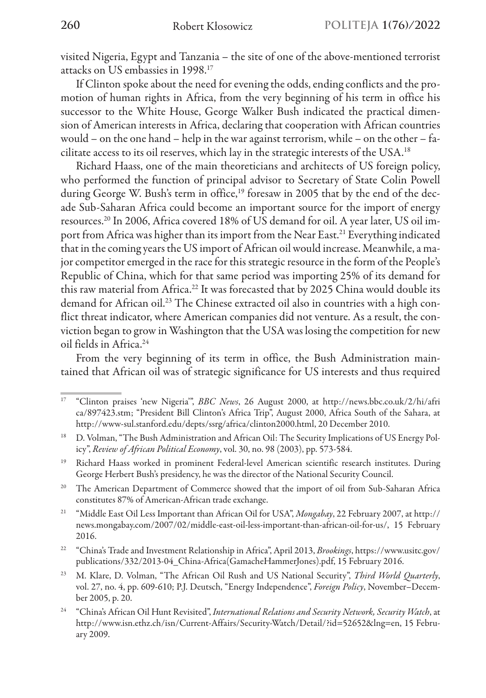visited Nigeria, Egypt and Tanzania – the site of one of the above-mentioned terrorist attacks on US embassies in 1998.17

If Clinton spoke about the need for evening the odds, ending conflicts and the promotion of human rights in Africa, from the very beginning of his term in office his successor to the White House, George Walker Bush indicated the practical dimension of American interests in Africa, declaring that cooperation with African countries would – on the one hand – help in the war against terrorism, while – on the other – facilitate access to its oil reserves, which lay in the strategic interests of the USA.18

Richard Haass, one of the main theoreticians and architects of US foreign policy, who performed the function of principal advisor to Secretary of State Colin Powell during George W. Bush's term in office,<sup>19</sup> foresaw in 2005 that by the end of the decade Sub-Saharan Africa could become an important source for the import of energy resources.20 In 2006, Africa covered 18% of US demand for oil. A year later, US oil import from Africa was higher than its import from the Near East.<sup>21</sup> Everything indicated that in the coming years the US import of African oil would increase. Meanwhile, a major competitor emerged in the race for this strategic resource in the form of the People's Republic of China, which for that same period was importing 25% of its demand for this raw material from Africa.22 It was forecasted that by 2025 China would double its demand for African oil.23 The Chinese extracted oil also in countries with a high conflict threat indicator, where American companies did not venture. As a result, the conviction began to grow in Washington that the USA was losing the competition for new oil fields in Africa.<sup>24</sup>

From the very beginning of its term in office, the Bush Administration maintained that African oil was of strategic significance for US interests and thus required

<sup>17</sup> "Clinton praises 'new Nigeria'", *BBC News*, 26 August 2000, at http://news.bbc.co.uk/2/hi/afri ca/897423.stm; "President Bill Clinton's Africa Trip", August 2000, Africa South of the Sahara, at http://www-sul.stanford.edu/depts/ssrg/africa/clinton2000.html, 20 December 2010.

<sup>&</sup>lt;sup>18</sup> D. Volman, "The Bush Administration and African Oil: The Security Implications of US Energy Policy", *Review of African Political Economy*, vol. 30, no. 98 (2003), pp. 573-584.

<sup>&</sup>lt;sup>19</sup> Richard Haass worked in prominent Federal-level American scientific research institutes. During George Herbert Bush's presidency, he was the director of the National Security Council.

<sup>&</sup>lt;sup>20</sup> The American Department of Commerce showed that the import of oil from Sub-Saharan Africa constitutes 87% of American-African trade exchange.

<sup>21</sup> "Middle East Oil Less Important than African Oil for USA", *Mongabay*, 22 February 2007, at http:// news.mongabay.com/2007/02/middle-east-oil-less-important-than-african-oil-for-us/, 15 February 2016.

<sup>22</sup> "China's Trade and Investment Relationship in Africa", April 2013, *Brookings*, https://www.usitc.gov/ publications/332/2013-04\_China-Africa(GamacheHammerJones).pdf, 15 February 2016.

<sup>23</sup> M. Klare, D. Volman, "The African Oil Rush and US National Security", *Third World Quarterly*, vol. 27, no. 4, pp. 609-610; P.J. Deutsch, "Energy Independence", *Foreign Policy*, November–December 2005, p. 20.

<sup>24</sup> "China's African Oil Hunt Revisited", *International Relations and Security Network, Security Watch*, at http://www.isn.ethz.ch/isn/Current-Affairs/Security-Watch/Detail/?id=52652&lng=en, 15 February 2009.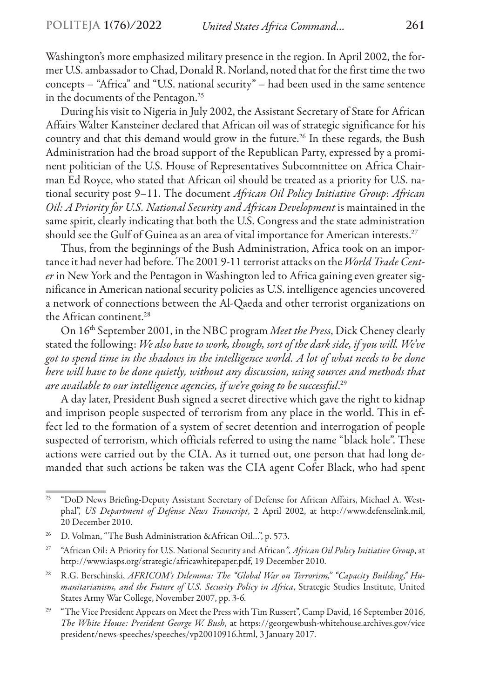Washington's more emphasized military presence in the region. In April 2002, the former U.S. ambassador to Chad, Donald R. Norland, noted that for the first time the two concepts – "Africa" and "U.S. national security" – had been used in the same sentence in the documents of the Pentagon.<sup>25</sup>

During his visit to Nigeria in July 2002, the Assistant Secretary of State for African Affairs Walter Kansteiner declared that African oil was of strategic significance for his country and that this demand would grow in the future.<sup>26</sup> In these regards, the Bush Administration had the broad support of the Republican Party, expressed by a prominent politician of the U.S. House of Representatives Subcommittee on Africa Chairman Ed Royce, who stated that African oil should be treated as a priority for U.S. national security post 9–11. The document *African Oil Policy Initiative Group*: *African Oil: A Priority for U.S. National Security and African Development* is maintained in the same spirit, clearly indicating that both the U.S. Congress and the state administration should see the Gulf of Guinea as an area of vital importance for American interests.<sup>27</sup>

Thus, from the beginnings of the Bush Administration, Africa took on an importance it had never had before. The 2001 9-11 terrorist attacks on the *World Trade Center* in New York and the Pentagon in Washington led to Africa gaining even greater significance in American national security policies as U.S. intelligence agencies uncovered a network of connections between the Al-Qaeda and other terrorist organizations on the African continent.<sup>28</sup>

On 16th September 2001, in the NBC program *Meet the Press*, Dick Cheney clearly stated the following: *We also have to work, though, sort of the dark side, if you will. We've got to spend time in the shadows in the intelligence world. A lot of what needs to be done here will have to be done quietly, without any discussion, using sources and methods that are available to our intelligence agencies, if we're going to be successful*. 29

A day later, President Bush signed a secret directive which gave the right to kidnap and imprison people suspected of terrorism from any place in the world. This in effect led to the formation of a system of secret detention and interrogation of people suspected of terrorism, which officials referred to using the name "black hole". These actions were carried out by the CIA. As it turned out, one person that had long demanded that such actions be taken was the CIA agent Cofer Black, who had spent

<sup>&</sup>lt;sup>25</sup> "DoD News Briefing-Deputy Assistant Secretary of Defense for African Affairs, Michael A. Westphal", *US Department of Defense News Transcript*, 2 April 2002, at http://www.defenselink.mil, 20 December 2010.

<sup>&</sup>lt;sup>26</sup> D. Volman, "The Bush Administration &African Oil...", p. 573.

<sup>27</sup> "African Oil: A Priority for U.S. National Security and African*"*, *African Oil Policy Initiative Group*, at http://www.iasps.org/strategic/africawhitepaper.pdf, 19 December 2010.

<sup>28</sup> R.G. Berschinski, *AFRICOM's Dilemma: The "Global War on Terrorism," "Capacity Building," Humanitarianism, and the Future of U.S. Security Policy in Africa*, Strategic Studies Institute, United States Army War College, November 2007, pp. 3-6*.*

<sup>&</sup>lt;sup>29</sup> "The Vice President Appears on Meet the Press with Tim Russert", Camp David, 16 September 2016, *The White House: President George W. Bush*, at https://georgewbush-whitehouse.archives.gov/vice president/news-speeches/speeches/vp20010916.html, 3 January 2017.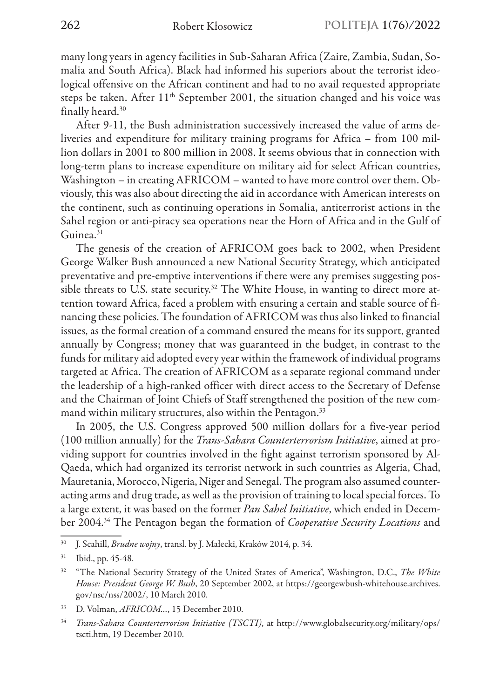many long years in agency facilities in Sub-Saharan Africa (Zaire, Zambia, Sudan, Somalia and South Africa). Black had informed his superiors about the terrorist ideological offensive on the African continent and had to no avail requested appropriate steps be taken. After 11<sup>th</sup> September 2001, the situation changed and his voice was finally heard.30

After 9-11, the Bush administration successively increased the value of arms deliveries and expenditure for military training programs for Africa – from 100 million dollars in 2001 to 800 million in 2008. It seems obvious that in connection with long-term plans to increase expenditure on military aid for select African countries, Washington – in creating AFRICOM – wanted to have more control over them. Obviously, this was also about directing the aid in accordance with American interests on the continent, such as continuing operations in Somalia, antiterrorist actions in the Sahel region or anti-piracy sea operations near the Horn of Africa and in the Gulf of Guinea.<sup>31</sup>

The genesis of the creation of AFRICOM goes back to 2002, when President George Walker Bush announced a new National Security Strategy, which anticipated preventative and pre-emptive interventions if there were any premises suggesting possible threats to U.S. state security.<sup>32</sup> The White House, in wanting to direct more attention toward Africa, faced a problem with ensuring a certain and stable source of financing these policies. The foundation of AFRICOM was thus also linked to financial issues, as the formal creation of a command ensured the means for its support, granted annually by Congress; money that was guaranteed in the budget, in contrast to the funds for military aid adopted every year within the framework of individual programs targeted at Africa. The creation of AFRICOM as a separate regional command under the leadership of a high-ranked officer with direct access to the Secretary of Defense and the Chairman of Joint Chiefs of Staff strengthened the position of the new command within military structures, also within the Pentagon.<sup>33</sup>

In 2005, the U.S. Congress approved 500 million dollars for a five-year period (100 million annually) for the *Trans-Sahara Counterterrorism Initiative*, aimed at providing support for countries involved in the fight against terrorism sponsored by Al-Qaeda, which had organized its terrorist network in such countries as Algeria, Chad, Mauretania, Morocco, Nigeria, Niger and Senegal. The program also assumed counteracting arms and drug trade, as well as the provision of training to local special forces. To a large extent, it was based on the former *Pan Sahel Initiative*, which ended in December 2004.34 The Pentagon began the formation of *Cooperative Security Locations* and

<sup>30</sup> J. Scahill, *Brudne wojny*, transl. by J. Małecki, Kraków 2014, p. 34.

<sup>31</sup> Ibid., pp. 45-48.

<sup>32</sup> "The National Security Strategy of the United States of America", Washington, D.C., *The White House: President George W. Bush*, 20 September 2002, at https://georgewbush-whitehouse.archives. gov/nsc/nss/2002/, 10 March 2010.

<sup>33</sup> D. Volman, *AFRICOM…*, 15 December 2010.

<sup>34</sup> *Trans-Sahara Counterterrorism Initiative (TSCTI)*, at http://www.globalsecurity.org/military/ops/ tscti.htm, 19 December 2010.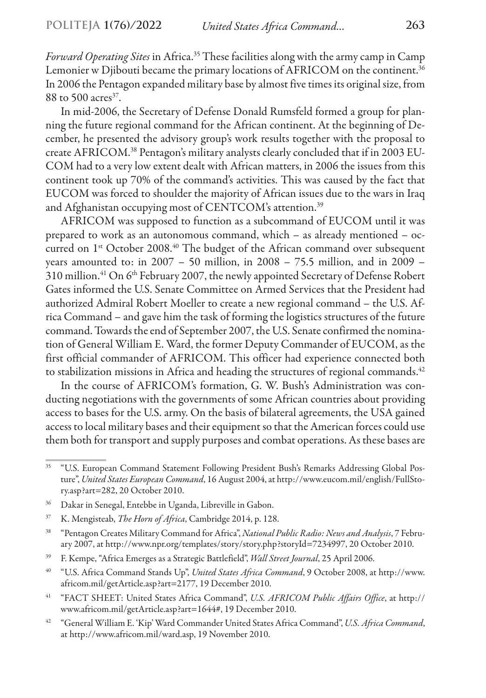*Forward Operating Sites* in Africa.35 These facilities along with the army camp in Camp Lemonier w Djibouti became the primary locations of AFRICOM on the continent.<sup>36</sup> In 2006 the Pentagon expanded military base by almost five times its original size, from  $88$  to 500 acres<sup>37</sup>.

In mid-2006, the Secretary of Defense Donald Rumsfeld formed a group for planning the future regional command for the African continent. At the beginning of December, he presented the advisory group's work results together with the proposal to create AFRICOM.38 Pentagon's military analysts clearly concluded that if in 2003 EU-COM had to a very low extent dealt with African matters, in 2006 the issues from this continent took up 70% of the command's activities. This was caused by the fact that EUCOM was forced to shoulder the majority of African issues due to the wars in Iraq and Afghanistan occupying most of CENTCOM's attention.<sup>39</sup>

AFRICOM was supposed to function as a subcommand of EUCOM until it was prepared to work as an autonomous command, which – as already mentioned – occurred on 1<sup>st</sup> October 2008.<sup>40</sup> The budget of the African command over subsequent years amounted to: in 2007 – 50 million, in 2008 – 75.5 million, and in 2009 – 310 million.<sup>41</sup> On 6<sup>th</sup> February 2007, the newly appointed Secretary of Defense Robert Gates informed the U.S. Senate Committee on Armed Services that the President had authorized Admiral Robert Moeller to create a new regional command – the U.S. Africa Command – and gave him the task of forming the logistics structures of the future command. Towards the end of September 2007, the U.S. Senate confirmed the nomination of General William E. Ward, the former Deputy Commander of EUCOM, as the first official commander of AFRICOM. This officer had experience connected both to stabilization missions in Africa and heading the structures of regional commands.<sup>42</sup>

In the course of AFRICOM's formation, G. W. Bush's Administration was conducting negotiations with the governments of some African countries about providing access to bases for the U.S. army. On the basis of bilateral agreements, the USA gained access to local military bases and their equipment so that the American forces could use them both for transport and supply purposes and combat operations. As these bases are

<sup>&</sup>lt;sup>35</sup> "U.S. European Command Statement Following President Bush's Remarks Addressing Global Posture", *United States European Command*, 16 August 2004, at http://www.eucom.mil/english/FullStory.asp?art=282, 20 October 2010.

<sup>36</sup> Dakar in Senegal, Entebbe in Uganda, Libreville in Gabon.

<sup>37</sup> K. Mengisteab, *The Horn of Africa*, Cambridge 2014, p. 128.

<sup>38</sup> "Pentagon Creates Military Command for Africa", *National Public Radio: News and Analysis*, 7 February 2007, at http://www.npr.org/templates/story/story.php?storyId=7234997, 20 October 2010.

<sup>39</sup> F. Kempe, "Africa Emerges as a Strategic Battlefield", *Wall Street Journal*, 25 April 2006.

<sup>40</sup> "U.S. Africa Command Stands Up", *United States Africa Command*, 9 October 2008, at http://www. africom.mil/getArticle.asp?art=2177, 19 December 2010.

<sup>41</sup> "FACT SHEET: United States Africa Command", *U.S. AFRICOM Public Affairs Office*, at http:// www.africom.mil/getArticle.asp?art=1644#, 19 December 2010.

<sup>42</sup> "General William E. 'Kip' Ward Commander United States Africa Command", *U.S. Africa Command*, at http://www.africom.mil/ward.asp, 19 November 2010.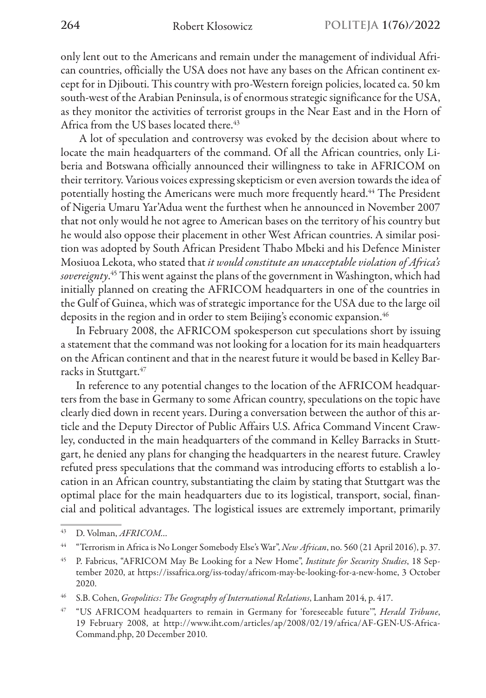only lent out to the Americans and remain under the management of individual African countries, officially the USA does not have any bases on the African continent except for in Djibouti. This country with pro-Western foreign policies, located ca. 50 km south-west of the Arabian Peninsula, is of enormous strategic significance for the USA, as they monitor the activities of terrorist groups in the Near East and in the Horn of Africa from the US bases located there.<sup>43</sup>

 A lot of speculation and controversy was evoked by the decision about where to locate the main headquarters of the command. Of all the African countries, only Liberia and Botswana officially announced their willingness to take in AFRICOM on their territory. Various voices expressing skepticism or even aversion towards the idea of potentially hosting the Americans were much more frequently heard.<sup>44</sup> The President of Nigeria Umaru Yar'Adua went the furthest when he announced in November 2007 that not only would he not agree to American bases on the territory of his country but he would also oppose their placement in other West African countries. A similar position was adopted by South African President Thabo Mbeki and his Defence Minister Mosiuoa Lekota, who stated that *it would constitute an unacceptable violation of Africa's sovereignty*. 45 This went against the plans of the government in Washington, which had initially planned on creating the AFRICOM headquarters in one of the countries in the Gulf of Guinea, which was of strategic importance for the USA due to the large oil deposits in the region and in order to stem Beijing's economic expansion.<sup>46</sup>

In February 2008, the AFRICOM spokesperson cut speculations short by issuing a statement that the command was not looking for a location for its main headquarters on the African continent and that in the nearest future it would be based in Kelley Barracks in Stuttgart.<sup>47</sup>

In reference to any potential changes to the location of the AFRICOM headquarters from the base in Germany to some African country, speculations on the topic have clearly died down in recent years. During a conversation between the author of this article and the Deputy Director of Public Affairs U.S. Africa Command Vincent Crawley, conducted in the main headquarters of the command in Kelley Barracks in Stuttgart, he denied any plans for changing the headquarters in the nearest future. Crawley refuted press speculations that the command was introducing efforts to establish a location in an African country, substantiating the claim by stating that Stuttgart was the optimal place for the main headquarters due to its logistical, transport, social, financial and political advantages. The logistical issues are extremely important, primarily

<sup>43</sup> D. Volman, *AFRICOM…*

<sup>44</sup> "Terrorism in Africa is No Longer Somebody Else's War", *New African*, no. 560 (21 April 2016), p. 37.

<sup>45</sup> P. Fabricus, "AFRICOM May Be Looking for a New Home", *Institute for Security Studies*, 18 September 2020, at https://issafrica.org/iss-today/africom-may-be-looking-for-a-new-home, 3 October 2020.

<sup>46</sup> S.B. Cohen, *Geopolitics: The Geography of International Relations*, Lanham 2014, p. 417.

<sup>47</sup> "US AFRICOM headquarters to remain in Germany for 'foreseeable future'", *Herald Tribune*, 19 February 2008, at http://www.iht.com/articles/ap/2008/02/19/africa/AF-GEN-US-Africa-Command.php, 20 December 2010.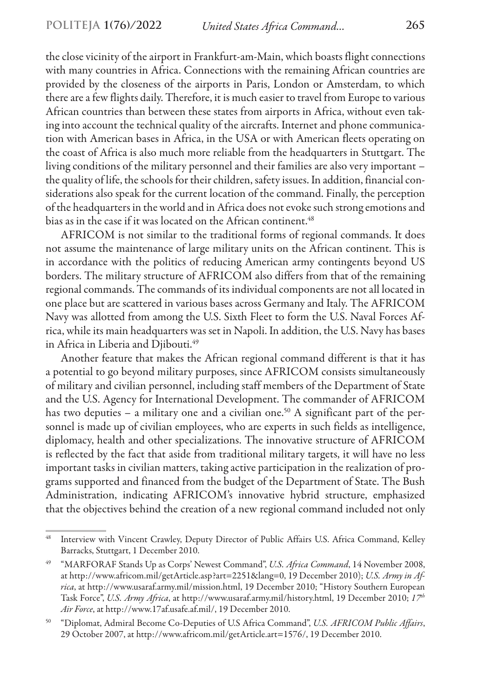the close vicinity of the airport in Frankfurt-am-Main, which boasts flight connections with many countries in Africa. Connections with the remaining African countries are provided by the closeness of the airports in Paris, London or Amsterdam, to which there are a few flights daily. Therefore, it is much easier to travel from Europe to various African countries than between these states from airports in Africa, without even taking into account the technical quality of the aircrafts. Internet and phone communication with American bases in Africa, in the USA or with American fleets operating on the coast of Africa is also much more reliable from the headquarters in Stuttgart. The living conditions of the military personnel and their families are also very important – the quality of life, the schools for their children, safety issues. In addition, financial considerations also speak for the current location of the command. Finally, the perception of the headquarters in the world and in Africa does not evoke such strong emotions and bias as in the case if it was located on the African continent.<sup>48</sup>

AFRICOM is not similar to the traditional forms of regional commands. It does not assume the maintenance of large military units on the African continent. This is in accordance with the politics of reducing American army contingents beyond US borders. The military structure of AFRICOM also differs from that of the remaining regional commands. The commands of its individual components are not all located in one place but are scattered in various bases across Germany and Italy. The AFRICOM Navy was allotted from among the U.S. Sixth Fleet to form the U.S. Naval Forces Africa, while its main headquarters was set in Napoli. In addition, the U.S. Navy has bases in Africa in Liberia and Djibouti.<sup>49</sup>

Another feature that makes the African regional command different is that it has a potential to go beyond military purposes, since AFRICOM consists simultaneously of military and civilian personnel, including staff members of the Department of State and the U.S. Agency for International Development. The commander of AFRICOM has two deputies – a military one and a civilian one.<sup>50</sup> A significant part of the personnel is made up of civilian employees, who are experts in such fields as intelligence, diplomacy, health and other specializations. The innovative structure of AFRICOM is reflected by the fact that aside from traditional military targets, it will have no less important tasks in civilian matters, taking active participation in the realization of programs supported and financed from the budget of the Department of State. The Bush Administration, indicating AFRICOM's innovative hybrid structure, emphasized that the objectives behind the creation of a new regional command included not only

<sup>48</sup> Interview with Vincent Crawley, Deputy Director of Public Affairs U.S. Africa Command, Kelley Barracks, Stuttgart, 1 December 2010.

<sup>49</sup> "MARFORAF Stands Up as Corps' Newest Command", *U.S. Africa Command*, 14 November 2008, at http://www.africom.mil/getArticle.asp?art=2251&lang=0, 19 December 2010); *U.S. Army in Africa*, at http://www.usaraf.army.mil/mission.html, 19 December 2010; "History Southern European Task Force", *U.S. Army Africa*, at http://www.usaraf.army.mil/history.html, 19 December 2010; *17th Air Force*, at http://www.17af.usafe.af.mil/, 19 December 2010.

<sup>50</sup> "Diplomat, Admiral Become Co-Deputies of U.S Africa Command", *U.S. AFRICOM Public Affairs*, 29 October 2007, at http://www.africom.mil/getArticle.art=1576/, 19 December 2010.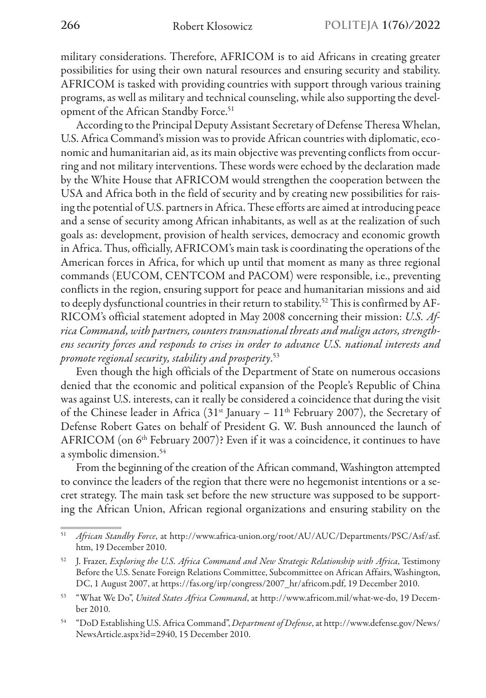military considerations. Therefore, AFRICOM is to aid Africans in creating greater possibilities for using their own natural resources and ensuring security and stability. AFRICOM is tasked with providing countries with support through various training programs, as well as military and technical counseling, while also supporting the development of the African Standby Force.<sup>51</sup>

According to the Principal Deputy Assistant Secretary of Defense Theresa Whelan, U.S. Africa Command's mission was to provide African countries with diplomatic, economic and humanitarian aid, as its main objective was preventing conflicts from occurring and not military interventions. These words were echoed by the declaration made by the White House that AFRICOM would strengthen the cooperation between the USA and Africa both in the field of security and by creating new possibilities for raising the potential of U.S. partners in Africa. These efforts are aimed at introducing peace and a sense of security among African inhabitants, as well as at the realization of such goals as: development, provision of health services, democracy and economic growth in Africa. Thus, officially, AFRICOM's main task is coordinating the operations of the American forces in Africa, for which up until that moment as many as three regional commands (EUCOM, CENTCOM and PACOM) were responsible, i.e., preventing conflicts in the region, ensuring support for peace and humanitarian missions and aid to deeply dysfunctional countries in their return to stability.<sup>52</sup> This is confirmed by AF-RICOM's official statement adopted in May 2008 concerning their mission: *U.S. Africa Command, with partners, counters transnational threats and malign actors, strengthens security forces and responds to crises in order to advance U.S. national interests and promote regional security, stability and prosperity*. 53

Even though the high officials of the Department of State on numerous occasions denied that the economic and political expansion of the People's Republic of China was against U.S. interests, can it really be considered a coincidence that during the visit of the Chinese leader in Africa  $(31^{st}$  January –  $11^{th}$  February 2007), the Secretary of Defense Robert Gates on behalf of President G. W. Bush announced the launch of AFRICOM (on  $6<sup>th</sup>$  February 2007)? Even if it was a coincidence, it continues to have a symbolic dimension.<sup>54</sup>

From the beginning of the creation of the African command, Washington attempted to convince the leaders of the region that there were no hegemonist intentions or a secret strategy. The main task set before the new structure was supposed to be supporting the African Union, African regional organizations and ensuring stability on the

<sup>51</sup> *African Standby Force*, at http://www.africa-union.org/root/AU/AUC/Departments/PSC/Asf/asf. htm, 19 December 2010.

<sup>52</sup> J. Frazer, *Exploring the U.S. Africa Command and New Strategic Relationship with Africa*, Testimony Before the U.S. Senate Foreign Relations Committee, Subcommittee on African Affairs, Washington, DC, 1 August 2007, at https://fas.org/irp/congress/2007\_hr/africom.pdf, 19 December 2010.

<sup>53</sup> "What We Do", *United States Africa Command*, at http://www.africom.mil/what-we-do, 19 December 2010.

<sup>54</sup> "DoD Establishing U.S. Africa Command", *Department of Defense*, at http://www.defense.gov/News/ NewsArticle.aspx?id=2940, 15 December 2010.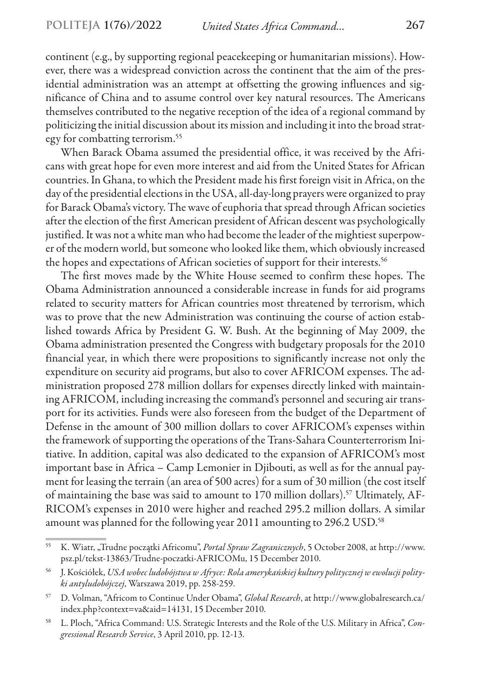continent (e.g., by supporting regional peacekeeping or humanitarian missions). However, there was a widespread conviction across the continent that the aim of the presidential administration was an attempt at offsetting the growing influences and significance of China and to assume control over key natural resources. The Americans themselves contributed to the negative reception of the idea of a regional command by politicizing the initial discussion about its mission and including it into the broad strategy for combatting terrorism.55

When Barack Obama assumed the presidential office, it was received by the Africans with great hope for even more interest and aid from the United States for African countries. In Ghana, to which the President made his first foreign visit in Africa, on the day of the presidential elections in the USA, all-day-long prayers were organized to pray for Barack Obama's victory. The wave of euphoria that spread through African societies after the election of the first American president of African descent was psychologically justified. It was not a white man who had become the leader of the mightiest superpower of the modern world, but someone who looked like them, which obviously increased the hopes and expectations of African societies of support for their interests.<sup>56</sup>

The first moves made by the White House seemed to confirm these hopes. The Obama Administration announced a considerable increase in funds for aid programs related to security matters for African countries most threatened by terrorism, which was to prove that the new Administration was continuing the course of action established towards Africa by President G. W. Bush. At the beginning of May 2009, the Obama administration presented the Congress with budgetary proposals for the 2010 financial year, in which there were propositions to significantly increase not only the expenditure on security aid programs, but also to cover AFRICOM expenses. The administration proposed 278 million dollars for expenses directly linked with maintaining AFRICOM, including increasing the command's personnel and securing air transport for its activities. Funds were also foreseen from the budget of the Department of Defense in the amount of 300 million dollars to cover AFRICOM's expenses within the framework of supporting the operations of the Trans-Sahara Counterterrorism Initiative. In addition, capital was also dedicated to the expansion of AFRICOM's most important base in Africa – Camp Lemonier in Djibouti, as well as for the annual payment for leasing the terrain (an area of 500 acres) for a sum of 30 million (the cost itself of maintaining the base was said to amount to 170 million dollars).57 Ultimately, AF-RICOM's expenses in 2010 were higher and reached 295.2 million dollars. A similar amount was planned for the following year 2011 amounting to 296.2 USD.<sup>58</sup>

<sup>55</sup> K. Wiatr, "Trudne początki Africomu", *Portal Spraw Zagranicznych*, 5 October 2008, at http://www. psz.pl/tekst-13863/Trudne-poczatki-AFRICOMu, 15 December 2010.

<sup>56</sup> J. Kościółek, *USA wobec ludobójstwa w Afryce: Rola amerykańskiej kultury politycznej w ewolucji polityki antyludobójczej*, Warszawa 2019, pp. 258-259.

<sup>57</sup> D. Volman, "Africom to Continue Under Obama", *Global Research*, at http://www.globalresearch.ca/ index.php?context=va&aid=14131, 15 December 2010.

<sup>58</sup> L. Ploch, "Africa Command: U.S. Strategic Interests and the Role of the U.S. Military in Africa", *Congressional Research Service*, 3 April 2010, pp. 12-13.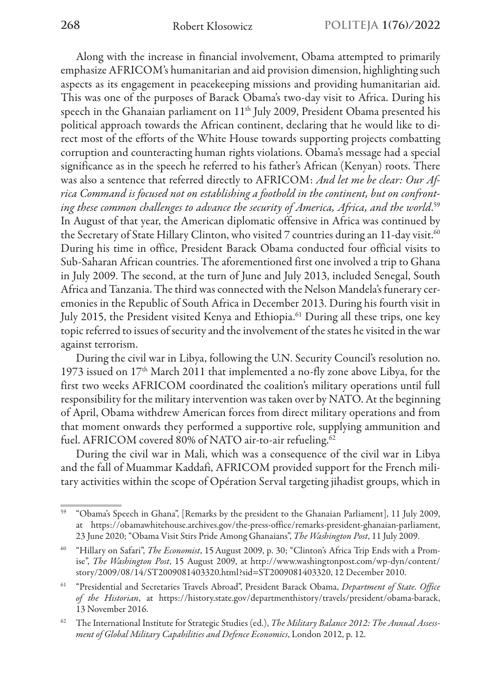Along with the increase in financial involvement, Obama attempted to primarily emphasize AFRICOM's humanitarian and aid provision dimension, highlighting such aspects as its engagement in peacekeeping missions and providing humanitarian aid. This was one of the purposes of Barack Obama's two-day visit to Africa. During his speech in the Ghanaian parliament on 11<sup>th</sup> July 2009, President Obama presented his political approach towards the African continent, declaring that he would like to direct most of the efforts of the White House towards supporting projects combatting corruption and counteracting human rights violations. Obama's message had a special significance as in the speech he referred to his father's African (Kenyan) roots. There was also a sentence that referred directly to AFRICOM: *And let me be clear: Our Africa Command is focused not on establishing a foothold in the continent, but on confronting these common challenges to advance the security of America, Africa, and the world*. 59 In August of that year, the American diplomatic offensive in Africa was continued by the Secretary of State Hillary Clinton, who visited 7 countries during an 11-day visit.<sup>60</sup> During his time in office, President Barack Obama conducted four official visits to Sub-Saharan African countries. The aforementioned first one involved a trip to Ghana in July 2009. The second, at the turn of June and July 2013, included Senegal, South Africa and Tanzania. The third was connected with the Nelson Mandela's funerary ceremonies in the Republic of South Africa in December 2013. During his fourth visit in July 2015, the President visited Kenya and Ethiopia.<sup>61</sup> During all these trips, one key topic referred to issues of security and the involvement of the states he visited in the war against terrorism.

During the civil war in Libya, following the U.N. Security Council's resolution no. 1973 issued on  $17<sup>th</sup>$  March 2011 that implemented a no-fly zone above Libya, for the first two weeks AFRICOM coordinated the coalition's military operations until full responsibility for the military intervention was taken over by NATO. At the beginning of April, Obama withdrew American forces from direct military operations and from that moment onwards they performed a supportive role, supplying ammunition and fuel. AFRICOM covered 80% of NATO air-to-air refueling.<sup>62</sup>

During the civil war in Mali, which was a consequence of the civil war in Libya and the fall of Muammar Kaddafi, AFRICOM provided support for the French military activities within the scope of Opération Serval targeting jihadist groups, which in

<sup>59</sup> "Obama's Speech in Ghana", [Remarks by the president to the Ghanaian Parliament], 11 July 2009, at https://obamawhitehouse.archives.gov/the-press-office/remarks-president-ghanaian-parliament, 23 June 2020; "Obama Visit Stirs Pride Among Ghanaians", *The Washington Post*, 11 July 2009.

<sup>60</sup> "Hillary on Safari", *The Economist*, 15August 2009, p. 30; "Clinton's Africa Trip Ends with a Promise", *The Washington Post*, 15 August 2009, at http://www.washingtonpost.com/wp-dyn/content/ story/2009/08/14/ST2009081403320.html?sid=ST2009081403320, 12 December 2010.

<sup>61</sup> "Presidential and Secretaries Travels Abroad", President Barack Obama, *Department of State. Office of the Historian*, at https://history.state.gov/departmenthistory/travels/president/obama-barack, 13 November 2016.

<sup>62</sup> The International Institute for Strategic Studies (ed.), *The Military Balance 2012: The Annual Assessment of Global Military Capabilities and Defence Economics*, London 2012, p. 12.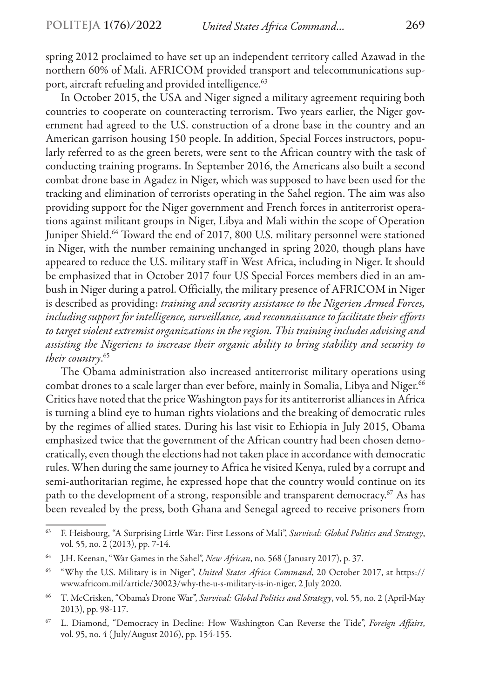spring 2012 proclaimed to have set up an independent territory called Azawad in the northern 60% of Mali. AFRICOM provided transport and telecommunications support, aircraft refueling and provided intelligence.<sup>63</sup>

In October 2015, the USA and Niger signed a military agreement requiring both countries to cooperate on counteracting terrorism. Two years earlier, the Niger government had agreed to the U.S. construction of a drone base in the country and an American garrison housing 150 people. In addition, Special Forces instructors, popularly referred to as the green berets, were sent to the African country with the task of conducting training programs. In September 2016, the Americans also built a second combat drone base in Agadez in Niger, which was supposed to have been used for the tracking and elimination of terrorists operating in the Sahel region. The aim was also providing support for the Niger government and French forces in antiterrorist operations against militant groups in Niger, Libya and Mali within the scope of Operation Juniper Shield.<sup>64</sup> Toward the end of 2017, 800 U.S. military personnel were stationed in Niger, with the number remaining unchanged in spring 2020, though plans have appeared to reduce the U.S. military staff in West Africa, including in Niger. It should be emphasized that in October 2017 four US Special Forces members died in an ambush in Niger during a patrol. Officially, the military presence of AFRICOM in Niger is described as providing: *training and security assistance to the Nigerien Armed Forces, including support for intelligence, surveillance, and reconnaissance to facilitate their efforts to target violent extremist organizations in the region. This training includes advising and assisting the Nigeriens to increase their organic ability to bring stability and security to their country*. 65

The Obama administration also increased antiterrorist military operations using combat drones to a scale larger than ever before, mainly in Somalia, Libya and Niger.<sup>66</sup> Critics have noted that the price Washington pays for its antiterrorist alliances in Africa is turning a blind eye to human rights violations and the breaking of democratic rules by the regimes of allied states. During his last visit to Ethiopia in July 2015, Obama emphasized twice that the government of the African country had been chosen democratically, even though the elections had not taken place in accordance with democratic rules. When during the same journey to Africa he visited Kenya, ruled by a corrupt and semi-authoritarian regime, he expressed hope that the country would continue on its path to the development of a strong, responsible and transparent democracy.<sup>67</sup> As has been revealed by the press, both Ghana and Senegal agreed to receive prisoners from

<sup>63</sup> F. Heisbourg, "A Surprising Little War: First Lessons of Mali", *Survival: Global Politics and Strategy*, vol. 55, no. 2 (2013), pp. 7-14.

<sup>64</sup> J.H. Keenan, "War Games in the Sahel", *New African*, no. 568 ( January 2017), p. 37.

<sup>65</sup> "Why the U.S. Military is in Niger", *United States Africa Command*, 20 October 2017, at https:// www.africom.mil/article/30023/why-the-u-s-military-is-in-niger, 2 July 2020.

<sup>66</sup> T. McCrisken, "Obama's Drone War", *Survival: Global Politics and Strategy*, vol. 55, no. 2 (April-May 2013), pp. 98-117.

<sup>67</sup> L. Diamond, "Democracy in Decline: How Washington Can Reverse the Tide", *Foreign Affairs*, vol. 95, no. 4 ( July/August 2016), pp. 154-155.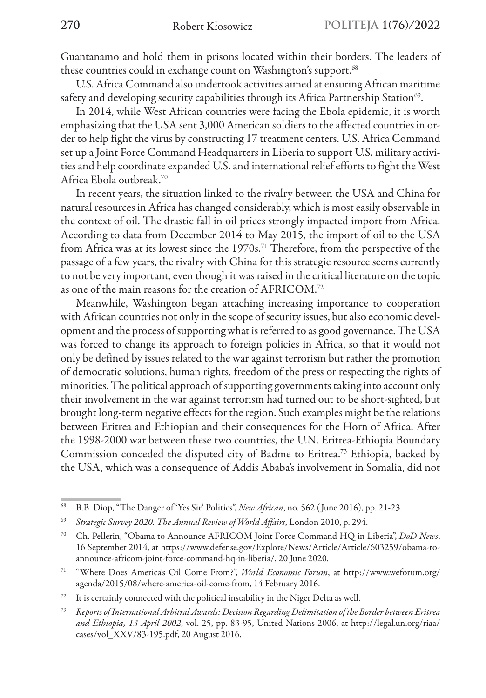Guantanamo and hold them in prisons located within their borders. The leaders of these countries could in exchange count on Washington's support.<sup>68</sup>

U.S. Africa Command also undertook activities aimed at ensuring African maritime safety and developing security capabilities through its Africa Partnership Station<sup>69</sup>.

In 2014, while West African countries were facing the Ebola epidemic, it is worth emphasizing that the USA sent 3,000 American soldiers to the affected countries in order to help fight the virus by constructing 17 treatment centers. U.S. Africa Command set up a Joint Force Command Headquarters in Liberia to support U.S. military activities and help coordinate expanded U.S. and international relief efforts to fight the West Africa Ebola outbreak.70

In recent years, the situation linked to the rivalry between the USA and China for natural resources in Africa has changed considerably, which is most easily observable in the context of oil. The drastic fall in oil prices strongly impacted import from Africa. According to data from December 2014 to May 2015, the import of oil to the USA from Africa was at its lowest since the 1970s.<sup>71</sup> Therefore, from the perspective of the passage of a few years, the rivalry with China for this strategic resource seems currently to not be very important, even though it was raised in the critical literature on the topic as one of the main reasons for the creation of AFRICOM.72

Meanwhile, Washington began attaching increasing importance to cooperation with African countries not only in the scope of security issues, but also economic development and the process of supporting what is referred to as good governance. The USA was forced to change its approach to foreign policies in Africa, so that it would not only be defined by issues related to the war against terrorism but rather the promotion of democratic solutions, human rights, freedom of the press or respecting the rights of minorities. The political approach of supporting governments taking into account only their involvement in the war against terrorism had turned out to be short-sighted, but brought long-term negative effects for the region. Such examples might be the relations between Eritrea and Ethiopian and their consequences for the Horn of Africa. After the 1998-2000 war between these two countries, the U.N. Eritrea-Ethiopia Boundary Commission conceded the disputed city of Badme to Eritrea.73 Ethiopia, backed by the USA, which was a consequence of Addis Ababa's involvement in Somalia, did not

<sup>68</sup> B.B. Diop, "The Danger of 'Yes Sir' Politics", *New African*, no. 562 ( June 2016), pp. 21-23.

<sup>69</sup> *Strategic Survey 2020. The Annual Review of World Affairs*, London 2010, p. 294.

<sup>70</sup> Ch. Pellerin, "Obama to Announce AFRICOM Joint Force Command HQ in Liberia", *DoD News*, 16 September 2014, at https://www.defense.gov/Explore/News/Article/Article/603259/obama-toannounce-africom-joint-force-command-hq-in-liberia/, 20 June 2020.

<sup>71</sup> "Where Does America's Oil Come From?", *World Economic Forum*, at http://www.weforum.org/ agenda/2015/08/where-america-oil-come-from, 14 February 2016.

<sup>72</sup> It is certainly connected with the political instability in the Niger Delta as well.

<sup>73</sup> *Reports of International Arbitral Awards: Decision Regarding Delimitation of the Border between Eritrea and Ethiopia, 13 April 2002*, vol. 25, pp. 83-95, United Nations 2006, at http://legal.un.org/riaa/ cases/vol\_XXV/83-195.pdf, 20 August 2016.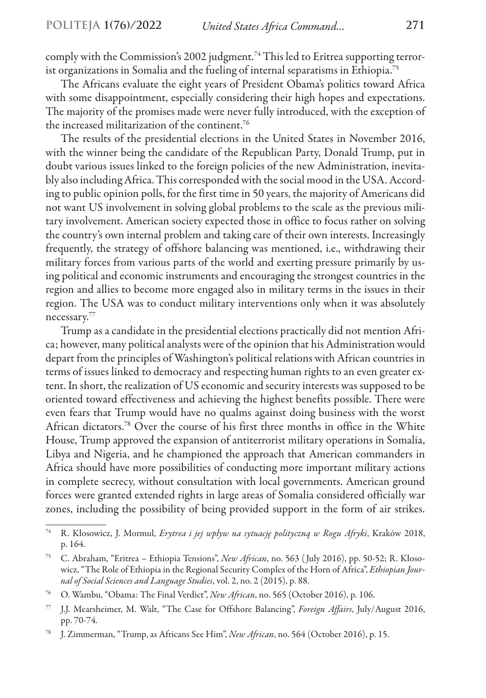comply with the Commission's 2002 judgment.74 This led to Eritrea supporting terrorist organizations in Somalia and the fueling of internal separatisms in Ethiopia.75

The Africans evaluate the eight years of President Obama's politics toward Africa with some disappointment, especially considering their high hopes and expectations. The majority of the promises made were never fully introduced, with the exception of the increased militarization of the continent.76

The results of the presidential elections in the United States in November 2016, with the winner being the candidate of the Republican Party, Donald Trump, put in doubt various issues linked to the foreign policies of the new Administration, inevitably also including Africa. This corresponded with the social mood in the USA. According to public opinion polls, for the first time in 50 years, the majority of Americans did not want US involvement in solving global problems to the scale as the previous military involvement. American society expected those in office to focus rather on solving the country's own internal problem and taking care of their own interests. Increasingly frequently, the strategy of offshore balancing was mentioned, i.e., withdrawing their military forces from various parts of the world and exerting pressure primarily by using political and economic instruments and encouraging the strongest countries in the region and allies to become more engaged also in military terms in the issues in their region. The USA was to conduct military interventions only when it was absolutely necessary.77

Trump as a candidate in the presidential elections practically did not mention Africa; however, many political analysts were of the opinion that his Administration would depart from the principles of Washington's political relations with African countries in terms of issues linked to democracy and respecting human rights to an even greater extent. In short, the realization of US economic and security interests was supposed to be oriented toward effectiveness and achieving the highest benefits possible. There were even fears that Trump would have no qualms against doing business with the worst African dictators.78 Over the course of his first three months in office in the White House, Trump approved the expansion of antiterrorist military operations in Somalia, Libya and Nigeria, and he championed the approach that American commanders in Africa should have more possibilities of conducting more important military actions in complete secrecy, without consultation with local governments. American ground forces were granted extended rights in large areas of Somalia considered officially war zones, including the possibility of being provided support in the form of air strikes.

<sup>74</sup> R. Kłosowicz, J. Mormul, *Erytrea i jej wpływ na sytuację polityczną w Rogu Afryki*, Kraków 2018, p. 164.

<sup>75</sup> C. Abraham, "Eritrea – Ethiopia Tensions", *New African*, no. 563 ( July 2016), pp. 50-52; R. Kłosowicz, "The Role of Ethiopia in the Regional Security Complex of the Horn of Africa", *Ethiopian Journal of Social Sciences and Language Studies*, vol. 2, no. 2 (2015), p. 88.

<sup>76</sup> O. Wambu, "Obama: The Final Verdict", *New African*, no. 565 (October 2016), p. 106.

<sup>77</sup> J.J. Mearsheimer, M. Walt, "The Case for Offshore Balancing", *Foreign Affairs*, July/August 2016, pp. 70-74.

<sup>78</sup> J. Zimmerman, "Trump, as Africans See Him", *New African*, no. 564 (October 2016), p. 15.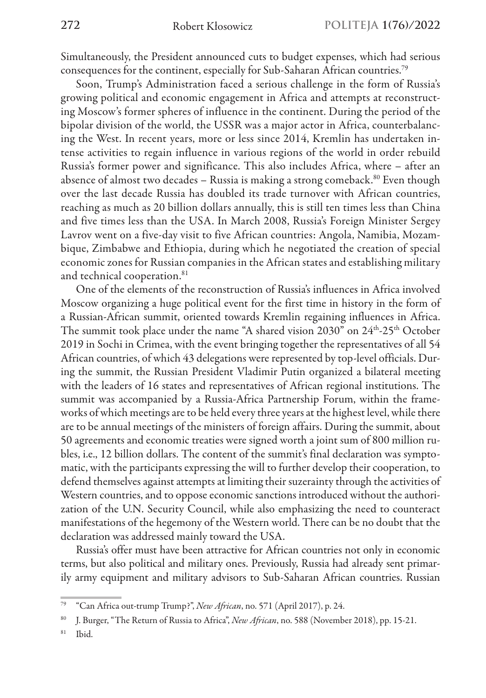Simultaneously, the President announced cuts to budget expenses, which had serious consequences for the continent, especially for Sub-Saharan African countries.79

Soon, Trump's Administration faced a serious challenge in the form of Russia's growing political and economic engagement in Africa and attempts at reconstructing Moscow's former spheres of influence in the continent. During the period of the bipolar division of the world, the USSR was a major actor in Africa, counterbalancing the West. In recent years, more or less since 2014, Kremlin has undertaken intense activities to regain influence in various regions of the world in order rebuild Russia's former power and significance. This also includes Africa, where – after an absence of almost two decades  $-$  Russia is making a strong comeback.<sup>80</sup> Even though over the last decade Russia has doubled its trade turnover with African countries, reaching as much as 20 billion dollars annually, this is still ten times less than China and five times less than the USA. In March 2008, Russia's Foreign Minister Sergey Lavrov went on a five-day visit to five African countries: Angola, Namibia, Mozambique, Zimbabwe and Ethiopia, during which he negotiated the creation of special economic zones for Russian companies in the African states and establishing military and technical cooperation.<sup>81</sup>

One of the elements of the reconstruction of Russia's influences in Africa involved Moscow organizing a huge political event for the first time in history in the form of a Russian-African summit, oriented towards Kremlin regaining influences in Africa. The summit took place under the name "A shared vision 2030" on 24<sup>th</sup>-25<sup>th</sup> October 2019 in Sochi in Crimea, with the event bringing together the representatives of all 54 African countries, of which 43 delegations were represented by top-level officials. During the summit, the Russian President Vladimir Putin organized a bilateral meeting with the leaders of 16 states and representatives of African regional institutions. The summit was accompanied by a Russia-Africa Partnership Forum, within the frameworks of which meetings are to be held every three years at the highest level, while there are to be annual meetings of the ministers of foreign affairs. During the summit, about 50 agreements and economic treaties were signed worth a joint sum of 800 million rubles, i.e., 12 billion dollars. The content of the summit's final declaration was symptomatic, with the participants expressing the will to further develop their cooperation, to defend themselves against attempts at limiting their suzerainty through the activities of Western countries, and to oppose economic sanctions introduced without the authorization of the U.N. Security Council, while also emphasizing the need to counteract manifestations of the hegemony of the Western world. There can be no doubt that the declaration was addressed mainly toward the USA.

Russia's offer must have been attractive for African countries not only in economic terms, but also political and military ones. Previously, Russia had already sent primarily army equipment and military advisors to Sub-Saharan African countries. Russian

<sup>79</sup> "Can Africa out-trump Trump?", *New African*, no. 571 (April 2017), p. 24.

<sup>80</sup> J. Burger, "The Return of Russia to Africa", *New African*, no. 588 (November 2018), pp. 15-21.

 $81$  Ibid.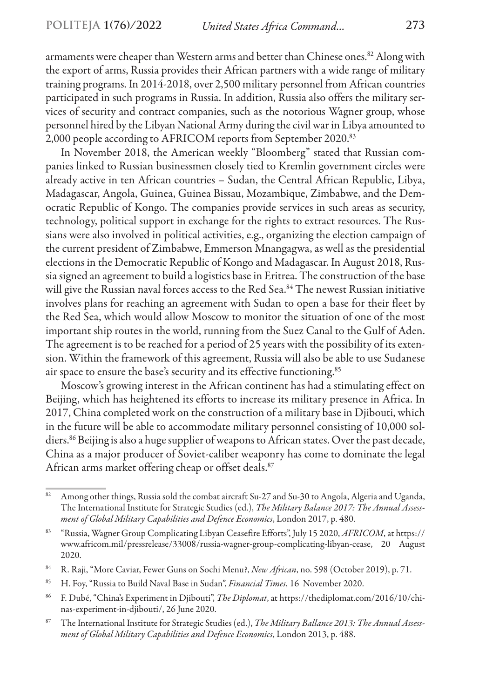armaments were cheaper than Western arms and better than Chinese ones.<sup>82</sup> Along with the export of arms, Russia provides their African partners with a wide range of military training programs. In 2014-2018, over 2,500 military personnel from African countries participated in such programs in Russia. In addition, Russia also offers the military services of security and contract companies, such as the notorious Wagner group, whose personnel hired by the Libyan National Army during the civil war in Libya amounted to 2,000 people according to AFRICOM reports from September 2020.83

In November 2018, the American weekly "Bloomberg" stated that Russian companies linked to Russian businessmen closely tied to Kremlin government circles were already active in ten African countries – Sudan, the Central African Republic, Libya, Madagascar, Angola, Guinea, Guinea Bissau, Mozambique, Zimbabwe, and the Democratic Republic of Kongo. The companies provide services in such areas as security, technology, political support in exchange for the rights to extract resources. The Russians were also involved in political activities, e.g., organizing the election campaign of the current president of Zimbabwe, Emmerson Mnangagwa, as well as the presidential elections in the Democratic Republic of Kongo and Madagascar. In August 2018, Russia signed an agreement to build a logistics base in Eritrea. The construction of the base will give the Russian naval forces access to the Red Sea.<sup>84</sup> The newest Russian initiative involves plans for reaching an agreement with Sudan to open a base for their fleet by the Red Sea, which would allow Moscow to monitor the situation of one of the most important ship routes in the world, running from the Suez Canal to the Gulf of Aden. The agreement is to be reached for a period of 25 years with the possibility of its extension. Within the framework of this agreement, Russia will also be able to use Sudanese air space to ensure the base's security and its effective functioning.85

Moscow's growing interest in the African continent has had a stimulating effect on Beijing, which has heightened its efforts to increase its military presence in Africa. In 2017, China completed work on the construction of a military base in Djibouti, which in the future will be able to accommodate military personnel consisting of 10,000 soldiers.<sup>86</sup> Beijing is also a huge supplier of weapons to African states. Over the past decade, China as a major producer of Soviet-caliber weaponry has come to dominate the legal African arms market offering cheap or offset deals.<sup>87</sup>

<sup>82</sup> Among other things, Russia sold the combat aircraft Su-27 and Su-30 to Angola, Algeria and Uganda, The International Institute for Strategic Studies (ed.), *The Military Balance 2017: The Annual Assessment of Global Military Capabilities and Defence Economics*, London 2017, p. 480.

<sup>83</sup> "Russia, Wagner Group Complicating Libyan Ceasefire Efforts", July 15 2020, *AFRICOM*, at https:// www.africom.mil/pressrelease/33008/russia-wagner-group-complicating-libyan-cease, 20 August 2020.

<sup>84</sup> R. Raji, "More Caviar, Fewer Guns on Sochi Menu?, *New African*, no. 598 (October 2019), p. 71.

<sup>85</sup> H. Foy, "Russia to Build Naval Base in Sudan", *Financial Times*, 16 November 2020.

<sup>86</sup> F. Dubé, "China's Experiment in Djibouti", *The Diplomat*, at https://thediplomat.com/2016/10/chinas-experiment-in-djibouti/, 26 June 2020.

<sup>87</sup> The International Institute for Strategic Studies (ed.), *The Military Ballance 2013: The Annual Assessment of Global Military Capabilities and Defence Economics*, London 2013, p. 488.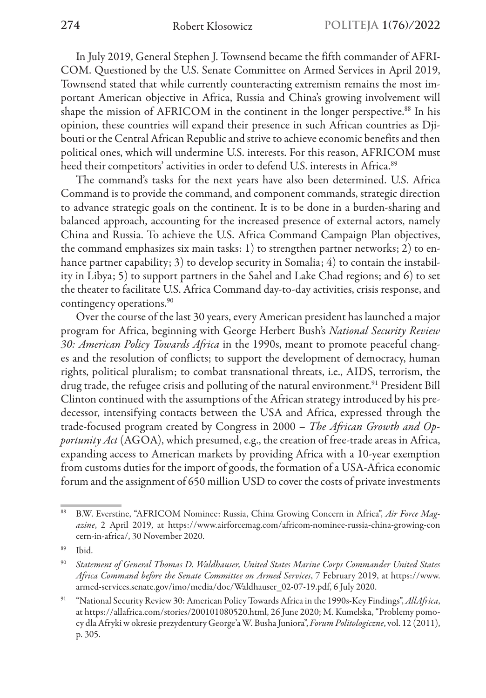In July 2019, General Stephen J. Townsend became the fifth commander of AFRI-COM. Questioned by the U.S. Senate Committee on Armed Services in April 2019, Townsend stated that while currently counteracting extremism remains the most important American objective in Africa, Russia and China's growing involvement will shape the mission of AFRICOM in the continent in the longer perspective.<sup>88</sup> In his opinion, these countries will expand their presence in such African countries as Djibouti or the Central African Republic and strive to achieve economic benefits and then political ones, which will undermine U.S. interests. For this reason, AFRICOM must heed their competitors' activities in order to defend U.S. interests in Africa.<sup>89</sup>

The command's tasks for the next years have also been determined. U.S. Africa Command is to provide the command, and component commands, strategic direction to advance strategic goals on the continent. It is to be done in a burden-sharing and balanced approach, accounting for the increased presence of external actors, namely China and Russia. To achieve the U.S. Africa Command Campaign Plan objectives, the command emphasizes six main tasks: 1) to strengthen partner networks; 2) to enhance partner capability; 3) to develop security in Somalia; 4) to contain the instability in Libya; 5) to support partners in the Sahel and Lake Chad regions; and 6) to set the theater to facilitate U.S. Africa Command day-to-day activities, crisis response, and contingency operations.90

Over the course of the last 30 years, every American president has launched a major program for Africa, beginning with George Herbert Bush's *National Security Review 30: American Policy Towards Africa* in the 1990s, meant to promote peaceful changes and the resolution of conflicts; to support the development of democracy, human rights, political pluralism; to combat transnational threats, i.e., AIDS, terrorism, the drug trade, the refugee crisis and polluting of the natural environment.<sup>91</sup> President Bill Clinton continued with the assumptions of the African strategy introduced by his predecessor, intensifying contacts between the USA and Africa, expressed through the trade-focused program created by Congress in 2000 – *The African Growth and Opportunity Act* (AGOA), which presumed, e.g., the creation of free-trade areas in Africa, expanding access to American markets by providing Africa with a 10-year exemption from customs duties for the import of goods, the formation of a USA-Africa economic forum and the assignment of 650 million USD to cover the costs of private investments

<sup>88</sup> B.W. Everstine, "AFRICOM Nominee: Russia, China Growing Concern in Africa", *Air Force Magazine*, 2 April 2019, at https://www.airforcemag.com/africom-nominee-russia-china-growing-con cern-in-africa/, 30 November 2020.

<sup>89</sup> Ibid.

<sup>90</sup> *Statement of General Thomas D. Waldhauser, United States Marine Corps Commander United States Africa Command before the Senate Committee on Armed Services*, 7 February 2019, at https://www. armed-services.senate.gov/imo/media/doc/Waldhauser\_02-07-19.pdf, 6 July 2020.

<sup>91</sup> "National Security Review 30: American Policy Towards Africa in the 1990s-Key Findings", *AllAfrica*, at https://allafrica.com/stories/200101080520.html, 26 June 2020; M. Kumelska, "Problemy pomocy dla Afryki w okresie prezydentury George'a W. Busha Juniora", *Forum Politologiczne*, vol. 12 (2011), p. 305.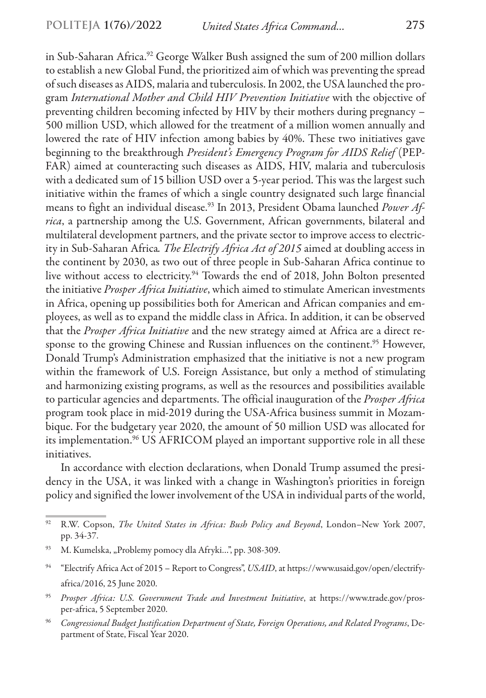in Sub-Saharan Africa.<sup>92</sup> George Walker Bush assigned the sum of 200 million dollars to establish a new Global Fund, the prioritized aim of which was preventing the spread of such diseases as AIDS, malaria and tuberculosis. In 2002, the USA launched the program *International Mother and Child HIV Prevention Initiative* with the objective of preventing children becoming infected by HIV by their mothers during pregnancy – 500 million USD, which allowed for the treatment of a million women annually and lowered the rate of HIV infection among babies by 40%. These two initiatives gave beginning to the breakthrough *President's Emergency Program for AIDS Relief* (PEP-FAR) aimed at counteracting such diseases as AIDS, HIV, malaria and tuberculosis with a dedicated sum of 15 billion USD over a 5-year period. This was the largest such initiative within the frames of which a single country designated such large financial means to fight an individual disease.93 In 2013, President Obama launched *Power Africa*, a partnership among the U.S. Government, African governments, bilateral and multilateral development partners, and the private sector to improve access to electricity in Sub-Saharan Africa*. The Electrify Africa Act of 2015* aimed at doubling access in the continent by 2030, as two out of three people in Sub-Saharan Africa continue to live without access to electricity.<sup>94</sup> Towards the end of 2018, John Bolton presented the initiative *Prosper Africa Initiative*, which aimed to stimulate American investments in Africa, opening up possibilities both for American and African companies and employees, as well as to expand the middle class in Africa. In addition, it can be observed that the *Prosper Africa Initiative* and the new strategy aimed at Africa are a direct response to the growing Chinese and Russian influences on the continent.<sup>95</sup> However, Donald Trump's Administration emphasized that the initiative is not a new program within the framework of U.S. Foreign Assistance, but only a method of stimulating and harmonizing existing programs, as well as the resources and possibilities available to particular agencies and departments. The official inauguration of the *Prosper Africa* program took place in mid-2019 during the USA-Africa business summit in Mozambique. For the budgetary year 2020, the amount of 50 million USD was allocated for its implementation.<sup>96</sup> US AFRICOM played an important supportive role in all these initiatives.

In accordance with election declarations, when Donald Trump assumed the presidency in the USA, it was linked with a change in Washington's priorities in foreign policy and signified the lower involvement of the USA in individual parts of the world,

<sup>92</sup> R.W. Copson, *The United States in Africa: Bush Policy and Beyond*, London–New York 2007, pp. 34-37.

<sup>&</sup>lt;sup>93</sup> M. Kumelska, "Problemy pomocy dla Afryki...", pp. 308-309.

<sup>&</sup>lt;sup>94</sup> "Electrify Africa Act of 2015 – Report to Congress", *USAID*, at https://www.usaid.gov/open/electrifyafrica/2016, 25 June 2020.

<sup>95</sup> *Prosper Africa: U.S. Government Trade and Investment Initiative*, at https://www.trade.gov/prosper-africa, 5 September 2020.

<sup>96</sup> *Congressional Budget Justification Department of State, Foreign Operations, and Related Programs*, Department of State, Fiscal Year 2020.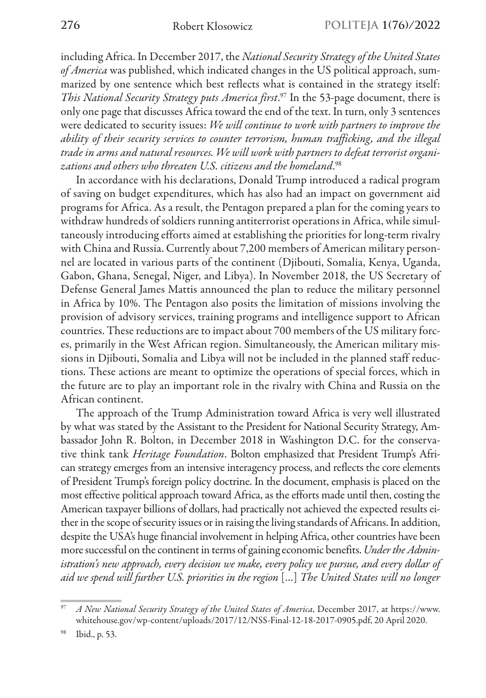including Africa. In December 2017, the *National Security Strategy of the United States of America* was published, which indicated changes in the US political approach, summarized by one sentence which best reflects what is contained in the strategy itself: *This National Security Strategy puts America first*. 97 In the 53-page document, there is only one page that discusses Africa toward the end of the text. In turn, only 3 sentences were dedicated to security issues: *We will continue to work with partners to improve the ability of their security services to counter terrorism, human trafficking, and the illegal trade in arms and natural resources. We will work with partners to defeat terrorist organizations and others who threaten U.S. citizens and the homeland*. 98

In accordance with his declarations, Donald Trump introduced a radical program of saving on budget expenditures, which has also had an impact on government aid programs for Africa. As a result, the Pentagon prepared a plan for the coming years to withdraw hundreds of soldiers running antiterrorist operations in Africa, while simultaneously introducing efforts aimed at establishing the priorities for long-term rivalry with China and Russia. Currently about 7,200 members of American military personnel are located in various parts of the continent (Djibouti, Somalia, Kenya, Uganda, Gabon, Ghana, Senegal, Niger, and Libya). In November 2018, the US Secretary of Defense General James Mattis announced the plan to reduce the military personnel in Africa by 10%. The Pentagon also posits the limitation of missions involving the provision of advisory services, training programs and intelligence support to African countries. These reductions are to impact about 700 members of the US military forces, primarily in the West African region. Simultaneously, the American military missions in Djibouti, Somalia and Libya will not be included in the planned staff reductions. These actions are meant to optimize the operations of special forces, which in the future are to play an important role in the rivalry with China and Russia on the African continent.

The approach of the Trump Administration toward Africa is very well illustrated by what was stated by the Assistant to the President for National Security Strategy, Ambassador John R. Bolton, in December 2018 in Washington D.C. for the conservative think tank *Heritage Foundation*. Bolton emphasized that President Trump's African strategy emerges from an intensive interagency process, and reflects the core elements of President Trump's foreign policy doctrine. In the document, emphasis is placed on the most effective political approach toward Africa, as the efforts made until then, costing the American taxpayer billions of dollars, had practically not achieved the expected results either in the scope of security issues or in raising the living standards of Africans. In addition, despite the USA's huge financial involvement in helping Africa, other countries have been more successful on the continent in terms of gaining economic benefits. *Under the Administration's new approach, every decision we make, every policy we pursue, and every dollar of aid we spend will further U.S. priorities in the region* […] *The United States will no longer* 

<sup>97</sup> *A New National Security Strategy of the United States of America*, December 2017, at https://www. whitehouse.gov/wp-content/uploads/2017/12/NSS-Final-12-18-2017-0905.pdf, 20 April 2020.

Ibid., p. 53.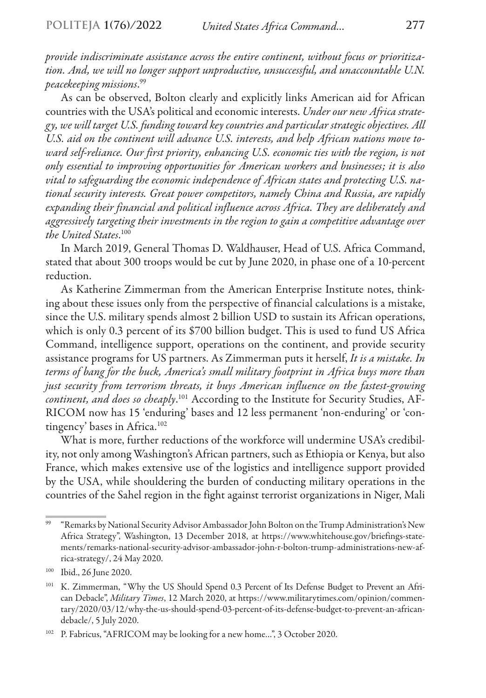*provide indiscriminate assistance across the entire continent, without focus or prioritization. And, we will no longer support unproductive, unsuccessful, and unaccountable U.N. peacekeeping missions*. 99

As can be observed, Bolton clearly and explicitly links American aid for African countries with the USA's political and economic interests. *Under our new Africa strategy, we will target U.S. funding toward key countries and particular strategic objectives. All U.S. aid on the continent will advance U.S. interests, and help African nations move toward self-reliance. Our first priority, enhancing U.S. economic ties with the region, is not only essential to improving opportunities for American workers and businesses; it is also vital to safeguarding the economic independence of African states and protecting U.S. national security interests. Great power competitors, namely China and Russia, are rapidly expanding their financial and political influence across Africa. They are deliberately and aggressively targeting their investments in the region to gain a competitive advantage over the United States*. 100

In March 2019, General Thomas D. Waldhauser, Head of U.S. Africa Command, stated that about 300 troops would be cut by June 2020, in phase one of a 10-percent reduction.

As Katherine Zimmerman from the American Enterprise Institute notes, thinking about these issues only from the perspective of financial calculations is a mistake, since the U.S. military spends almost 2 billion USD to sustain its African operations, which is only 0.3 percent of its \$700 billion budget. This is used to fund US Africa Command, intelligence support, operations on the continent, and provide security assistance programs for US partners. As Zimmerman puts it herself, *It is a mistake. In terms of bang for the buck, America's small military footprint in Africa buys more than just security from terrorism threats, it buys American influence on the fastest-growing continent, and does so cheaply*. 101 According to the Institute for Security Studies, AF-RICOM now has 15 'enduring' bases and 12 less permanent 'non-enduring' or 'contingency' bases in Africa.<sup>102</sup>

What is more, further reductions of the workforce will undermine USA's credibility, not only among Washington's African partners, such as Ethiopia or Kenya, but also France, which makes extensive use of the logistics and intelligence support provided by the USA, while shouldering the burden of conducting military operations in the countries of the Sahel region in the fight against terrorist organizations in Niger, Mali

<sup>99</sup> "Remarks by National Security Advisor Ambassador John Bolton on the Trump Administration's New Africa Strategy", Washington, 13 December 2018, at https://www.whitehouse.gov/briefings-statements/remarks-national-security-advisor-ambassador-john-r-bolton-trump-administrations-new-africa-strategy/, 24 May 2020.

<sup>100</sup> Ibid., 26 June 2020.

<sup>101</sup> K. Zimmerman, "Why the US Should Spend 0.3 Percent of Its Defense Budget to Prevent an African Debacle", *Military Times*, 12 March 2020, at https://www.militarytimes.com/opinion/commentary/2020/03/12/why-the-us-should-spend-03-percent-of-its-defense-budget-to-prevent-an-africandebacle/, 5 July 2020.

<sup>102</sup> P. Fabricus, "AFRICOM may be looking for a new home…", 3 October 2020.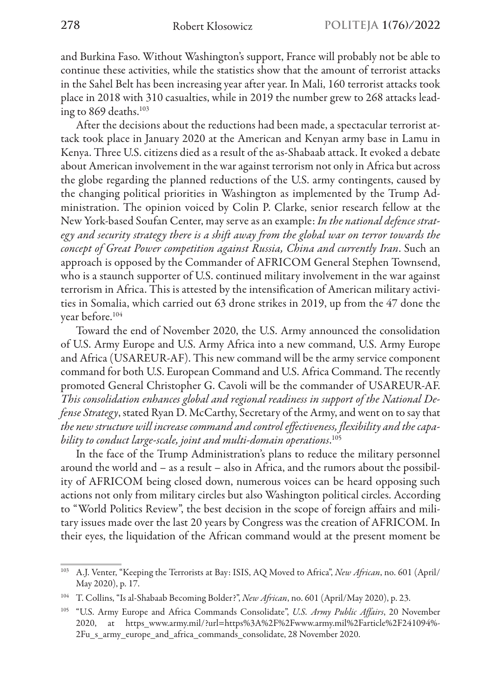and Burkina Faso. Without Washington's support, France will probably not be able to continue these activities, while the statistics show that the amount of terrorist attacks in the Sahel Belt has been increasing year after year. In Mali, 160 terrorist attacks took place in 2018 with 310 casualties, while in 2019 the number grew to 268 attacks leading to 869 deaths.<sup>103</sup>

After the decisions about the reductions had been made, a spectacular terrorist attack took place in January 2020 at the American and Kenyan army base in Lamu in Kenya. Three U.S. citizens died as a result of the as-Shabaab attack. It evoked a debate about American involvement in the war against terrorism not only in Africa but across the globe regarding the planned reductions of the U.S. army contingents, caused by the changing political priorities in Washington as implemented by the Trump Administration. The opinion voiced by Colin P. Clarke, senior research fellow at the New York-based Soufan Center, may serve as an example: *In the national defence strategy and security strategy there is a shift away from the global war on terror towards the concept of Great Power competition against Russia, China and currently Iran*. Such an approach is opposed by the Commander of AFRICOM General Stephen Townsend, who is a staunch supporter of U.S. continued military involvement in the war against terrorism in Africa. This is attested by the intensification of American military activities in Somalia, which carried out 63 drone strikes in 2019, up from the 47 done the year before.104

Toward the end of November 2020, the U.S. Army announced the consolidation of U.S. Army Europe and U.S. Army Africa into a new command, U.S. Army Europe and Africa (USAREUR-AF). This new command will be the army service component command for both U.S. European Command and U.S. Africa Command. The recently promoted General Christopher G. Cavoli will be the commander of USAREUR-AF. *This consolidation enhances global and regional readiness in support of the National Defense Strategy*, stated Ryan D. McCarthy, Secretary of the Army, and went on to say that *the new structure will increase command and control effectiveness, flexibility and the capability to conduct large-scale, joint and multi-domain operations*. 105

In the face of the Trump Administration's plans to reduce the military personnel around the world and – as a result – also in Africa, and the rumors about the possibility of AFRICOM being closed down, numerous voices can be heard opposing such actions not only from military circles but also Washington political circles. According to "World Politics Review", the best decision in the scope of foreign affairs and military issues made over the last 20 years by Congress was the creation of AFRICOM. In their eyes, the liquidation of the African command would at the present moment be

<sup>103</sup> A.J. Venter, "Keeping the Terrorists at Bay: ISIS, AQ Moved to Africa", *New African*, no. 601 (April/ May 2020), p. 17.

<sup>104</sup> T. Collins, "Is al-Shabaab Becoming Bolder?", *New African*, no. 601 (April/May 2020), p. 23.

<sup>105</sup> "U.S. Army Europe and Africa Commands Consolidate", *U.S. Army Public Affairs*, 20 November 2020, at https\_www.army.mil/?url=https%3A%2F%2Fwww.army.mil%2Farticle%2F241094%- 2Fu s army europe and africa commands consolidate, 28 November 2020.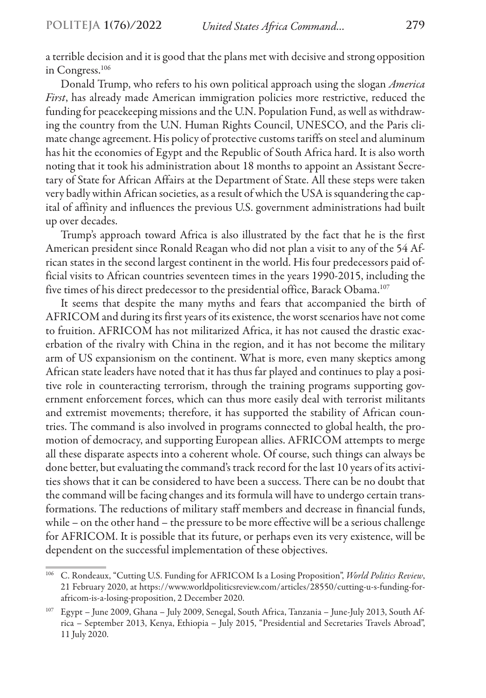a terrible decision and it is good that the plans met with decisive and strong opposition in Congress.106

Donald Trump, who refers to his own political approach using the slogan *America First*, has already made American immigration policies more restrictive, reduced the funding for peacekeeping missions and the U.N. Population Fund, as well as withdrawing the country from the U.N. Human Rights Council, UNESCO, and the Paris climate change agreement. His policy of protective customs tariffs on steel and aluminum has hit the economies of Egypt and the Republic of South Africa hard. It is also worth noting that it took his administration about 18 months to appoint an Assistant Secretary of State for African Affairs at the Department of State. All these steps were taken very badly within African societies, as a result of which the USA is squandering the capital of affinity and influences the previous U.S. government administrations had built up over decades.

Trump's approach toward Africa is also illustrated by the fact that he is the first American president since Ronald Reagan who did not plan a visit to any of the 54 African states in the second largest continent in the world. His four predecessors paid official visits to African countries seventeen times in the years 1990-2015, including the five times of his direct predecessor to the presidential office, Barack Obama.<sup>107</sup>

It seems that despite the many myths and fears that accompanied the birth of AFRICOM and during its first years of its existence, the worst scenarios have not come to fruition. AFRICOM has not militarized Africa, it has not caused the drastic exacerbation of the rivalry with China in the region, and it has not become the military arm of US expansionism on the continent. What is more, even many skeptics among African state leaders have noted that it has thus far played and continues to play a positive role in counteracting terrorism, through the training programs supporting government enforcement forces, which can thus more easily deal with terrorist militants and extremist movements; therefore, it has supported the stability of African countries. The command is also involved in programs connected to global health, the promotion of democracy, and supporting European allies. AFRICOM attempts to merge all these disparate aspects into a coherent whole. Of course, such things can always be done better, but evaluating the command's track record for the last 10 years of its activities shows that it can be considered to have been a success. There can be no doubt that the command will be facing changes and its formula will have to undergo certain transformations. The reductions of military staff members and decrease in financial funds, while – on the other hand – the pressure to be more effective will be a serious challenge for AFRICOM. It is possible that its future, or perhaps even its very existence, will be dependent on the successful implementation of these objectives.

<sup>106</sup> C. Rondeaux, "Cutting U.S. Funding for AFRICOM Is a Losing Proposition", *World Politics Review*, 21 February 2020, at https://www.worldpoliticsreview.com/articles/28550/cutting-u-s-funding-forafricom-is-a-losing-proposition, 2 December 2020.

<sup>107</sup> Egypt – June 2009, Ghana – July 2009, Senegal, South Africa, Tanzania – June-July 2013, South Africa – September 2013, Kenya, Ethiopia – July 2015, "Presidential and Secretaries Travels Abroad", 11 July 2020.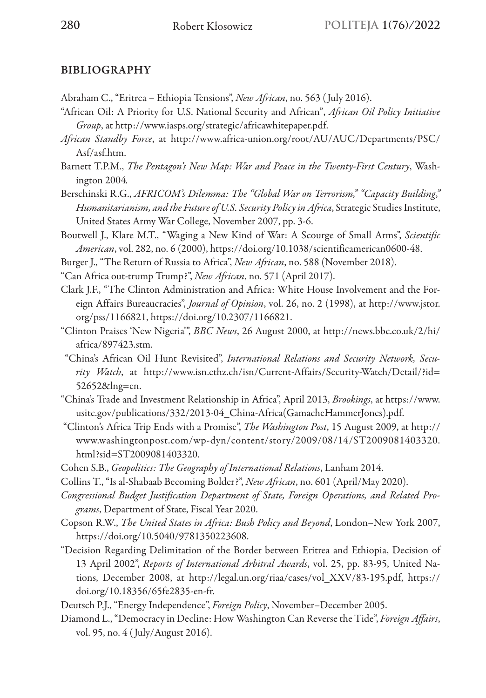## BIBLIOGRAPHY

- Abraham C., "Eritrea Ethiopia Tensions", *New African*, no. 563 ( July 2016).
- "African Oil: A Priority for U.S. National Security and African", *African Oil Policy Initiative Group*, at http://www.iasps.org/strategic/africawhitepaper.pdf.
- *African Standby Force*, at http://www.africa-union.org/root/AU/AUC/Departments/PSC/ Asf/asf.htm.
- Barnett T.P.M., *The Pentagon's New Map: War and Peace in the Twenty-First Century*, Washington 2004*.*
- Berschinski R.G., *AFRICOM's Dilemma: The "Global War on Terrorism," "Capacity Building," Humanitarianism, and the Future of U.S. Security Policy in Africa*, Strategic Studies Institute, United States Army War College, November 2007, pp. 3-6.
- Boutwell J., Klare M.T., "Waging a New Kind of War: A Scourge of Small Arms", *Scientific American*, vol. 282, no. 6 (2000), https://doi.org/10.1038/scientificamerican0600-48.
- Burger J., "The Return of Russia to Africa", *New African*, no. 588 (November 2018).
- "Can Africa out-trump Trump?", *New African*, no. 571 (April 2017).
- Clark J.F., "The Clinton Administration and Africa: White House Involvement and the Foreign Affairs Bureaucracies", *Journal of Opinion*, vol. 26, no. 2 (1998), at http://www.jstor. org/pss/1166821, https://doi.org/10.2307/1166821.
- "Clinton Praises 'New Nigeria'", *BBC News*, 26 August 2000, at http://news.bbc.co.uk/2/hi/ africa/897423.stm.
- "China's African Oil Hunt Revisited", *International Relations and Security Network, Security Watch*, at http://www.isn.ethz.ch/isn/Current-Affairs/Security-Watch/Detail/?id= 52652&lng=en.
- "China's Trade and Investment Relationship in Africa", April 2013, *Brookings*, at https://www. usitc.gov/publications/332/2013-04\_China-Africa(GamacheHammerJones).pdf.
- "Clinton's Africa Trip Ends with a Promise", *The Washington Post*, 15 August 2009, at http:// www.washingtonpost.com/wp-dyn/content/story/2009/08/14/ST2009081403320. html?sid=ST2009081403320.
- Cohen S.B., *Geopolitics: The Geography of International Relations*, Lanham 2014.
- Collins T., "Is al-Shabaab Becoming Bolder?", *New African*, no. 601 (April/May 2020).
- *Congressional Budget Justification Department of State, Foreign Operations, and Related Programs*, Department of State, Fiscal Year 2020.
- Copson R.W., *The United States in Africa: Bush Policy and Beyond*, London–New York 2007, https://doi.org/10.5040/9781350223608.
- "Decision Regarding Delimitation of the Border between Eritrea and Ethiopia, Decision of 13 April 2002", *Reports of International Arbitral Awards*, vol. 25, pp. 83-95, United Nations, December 2008, at http://legal.un.org/riaa/cases/vol\_XXV/83-195.pdf, https:// doi.org/10.18356/65fe2835-en-fr.
- Deutsch P.J., "Energy Independence", *Foreign Policy*, November–December 2005.
- Diamond L., "Democracy in Decline: How Washington Can Reverse the Tide", *Foreign Affairs*, vol. 95, no. 4 ( July/August 2016).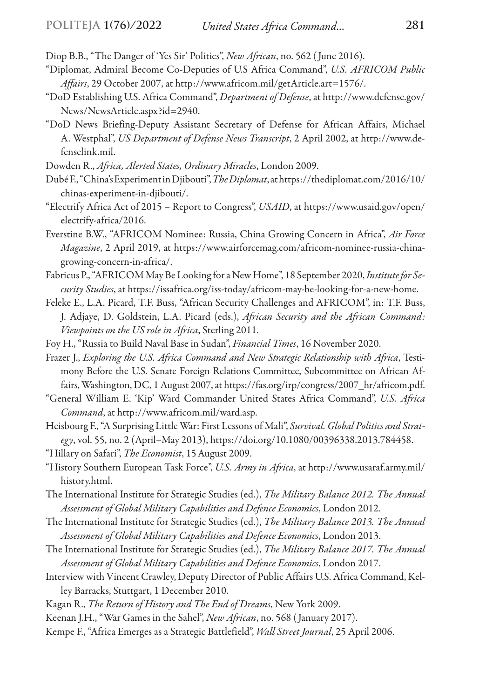- Diop B.B., "The Danger of 'Yes Sir' Politics", *New African*, no. 562 ( June 2016).
- "Diplomat, Admiral Become Co-Deputies of U.S Africa Command", *U.S. AFRICOM Public Affairs*, 29 October 2007, at http://www.africom.mil/getArticle.art=1576/.
- "DoD Establishing U.S. Africa Command", *Department of Defense*, at http://www.defense.gov/ News/NewsArticle.aspx?id=2940.
- "DoD News Briefing-Deputy Assistant Secretary of Defense for African Affairs, Michael A. Westphal", *US Department of Defense News Transcript*, 2 April 2002, at http://www.defenselink.mil.
- Dowden R., *Africa, Alerted States, Ordinary Miracles*, London 2009.
- Dubé F., "China's Experiment in Djibouti", *The Diplomat*, at https://thediplomat.com/2016/10/ chinas-experiment-in-djibouti/.
- "Electrify Africa Act of 2015 Report to Congress", *USAID*, at https://www.usaid.gov/open/ electrify-africa/2016.
- Everstine B.W., "AFRICOM Nominee: Russia, China Growing Concern in Africa", *Air Force Magazine*, 2 April 2019, at https://www.airforcemag.com/africom-nominee-russia-chinagrowing-concern-in-africa/.
- Fabricus P., "AFRICOM May Be Looking for a New Home", 18 September 2020, *Institute for Security Studies*, at https://issafrica.org/iss-today/africom-may-be-looking-for-a-new-home.
- Feleke E., L.A. Picard, T.F. Buss, "African Security Challenges and AFRICOM", in: T.F. Buss, J. Adjaye, D. Goldstein, L.A. Picard (eds.), *African Security and the African Command: Viewpoints on the US role in Africa*, Sterling 2011.
- Foy H., "Russia to Build Naval Base in Sudan", *Financial Times*, 16 November 2020.
- Frazer J., *Exploring the U.S. Africa Command and New Strategic Relationship with Africa*, Testimony Before the U.S. Senate Foreign Relations Committee, Subcommittee on African Affairs, Washington, DC, 1 August 2007, at https://fas.org/irp/congress/2007\_hr/africom.pdf.
- "General William E. 'Kip' Ward Commander United States Africa Command", *U.S. Africa Command*, at http://www.africom.mil/ward.asp.
- Heisbourg F., "A Surprising Little War: First Lessons of Mali", *Survival. Global Politics and Strategy*, vol. 55, no. 2 (April–May 2013), https://doi.org/10.1080/00396338.2013.784458.
- "Hillary on Safari", *The Economist*, 15August 2009.
- "History Southern European Task Force", *U.S. Army in Africa*, at http://www.usaraf.army.mil/ history.html.
- The International Institute for Strategic Studies (ed.), *The Military Balance 2012. The Annual Assessment of Global Military Capabilities and Defence Economics*, London 2012.
- The International Institute for Strategic Studies (ed.), *The Military Balance 2013. The Annual Assessment of Global Military Capabilities and Defence Economics*, London 2013.
- The International Institute for Strategic Studies (ed.), *The Military Balance 2017. The Annual Assessment of Global Military Capabilities and Defence Economics*, London 2017.
- Interview with Vincent Crawley, Deputy Director of Public Affairs U.S. Africa Command, Kelley Barracks, Stuttgart, 1 December 2010.
- Kagan R., *The Return of History and The End of Dreams*, New York 2009.
- Keenan J.H., "War Games in the Sahel", *New African*, no. 568 ( January 2017).
- Kempe F., "Africa Emerges as a Strategic Battlefield", *Wall Street Journal*, 25 April 2006.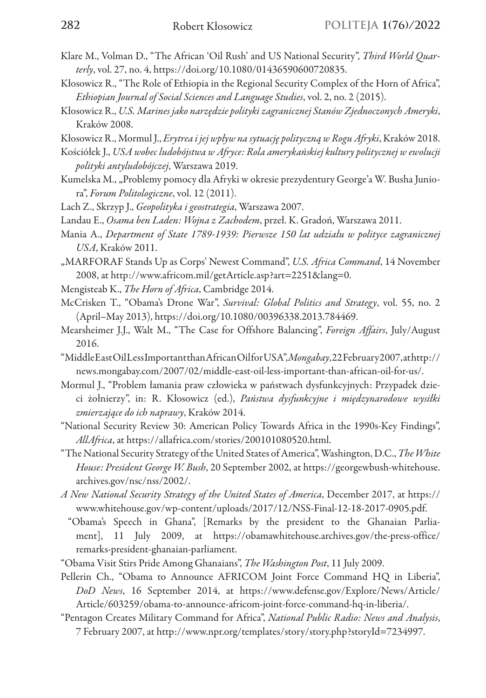- Klare M., Volman D., "The African 'Oil Rush' and US National Security", *Third World Quarterly*, vol. 27, no. 4, https://doi.org/10.1080/01436590600720835.
- Kłosowicz R., "The Role of Ethiopia in the Regional Security Complex of the Horn of Africa", *Ethiopian Journal of Social Sciences and Language Studies*, vol. 2, no. 2 (2015).
- Kłosowicz R., *U.S. Marines jako narzędzie polityki zagranicznej Stanów Zjednoczonych Ameryki*, Kraków 2008.

Kłosowicz R., Mormul J., *Erytrea i jej wpływ na sytuację polityczną w Rogu Afryki*, Kraków 2018.

- Kościółek J., *USA wobec ludobójstwa w Afryce: Rola amerykańskiej kultury politycznej w ewolucji polityki antyludobójczej*, Warszawa 2019.
- Kumelska M., "Problemy pomocy dla Afryki w okresie prezydentury George'a W. Busha Juniora", *Forum Politologiczne*, vol. 12 (2011).
- Lach Z., Skrzyp J., *Geopolityka i geostrategia*, Warszawa 2007.
- Landau E., *Osama ben Laden: Wojna z Zachodem*, przeł. K. Gradoń, Warszawa 2011.
- Mania A., *Department of State 1789-1939: Pierwsze 150 lat udziału w polityce zagranicznej USA*, Kraków 2011.
- "MARFORAF Stands Up as Corps' Newest Command", *U.S. Africa Command*, 14 November 2008, at http://www.africom.mil/getArticle.asp?art=2251&lang=0.
- Mengisteab K., *The Horn of Africa*, Cambridge 2014.
- McCrisken T., "Obama's Drone War", *Survival: Global Politics and Strategy*, vol. 55, no. 2 (April–May 2013), https://doi.org/10.1080/00396338.2013.784469.
- Mearsheimer J.J., Walt M., "The Case for Offshore Balancing", *Foreign Affairs*, July/August 2016.
- "Middle East Oil Less Important than African Oil for USA", *Mongabay*, 22 February 2007, at http:// news.mongabay.com/2007/02/middle-east-oil-less-important-than-african-oil-for-us/.
- Mormul J., "Problem łamania praw człowieka w państwach dysfunkcyjnych: Przypadek dzieci żołnierzy", in: R. Kłosowicz (ed.), *Państwa dysfunkcyjne i międzynarodowe wysiłki zmierzające do ich naprawy*, Kraków 2014.
- "National Security Review 30: American Policy Towards Africa in the 1990s-Key Findings", *AllAfrica*, at https://allafrica.com/stories/200101080520.html.
- "The National Security Strategy of the United States of America", Washington, D.C., *The White House: President George W. Bush*, 20 September 2002, at https://georgewbush-whitehouse. archives.gov/nsc/nss/2002/.
- *A New National Security Strategy of the United States of America*, December 2017, at https:// www.whitehouse.gov/wp-content/uploads/2017/12/NSS-Final-12-18-2017-0905.pdf.
	- "Obama's Speech in Ghana", [Remarks by the president to the Ghanaian Parliament], 11 July 2009, at https://obamawhitehouse.archives.gov/the-press-office/ remarks-president-ghanaian-parliament.
- "Obama Visit Stirs Pride Among Ghanaians", *The Washington Post*, 11 July 2009.
- Pellerin Ch., "Obama to Announce AFRICOM Joint Force Command HQ in Liberia", *DoD News*, 16 September 2014, at https://www.defense.gov/Explore/News/Article/ Article/603259/obama-to-announce-africom-joint-force-command-hq-in-liberia/.
- "Pentagon Creates Military Command for Africa", *National Public Radio: News and Analysis*, 7 February 2007, at http://www.npr.org/templates/story/story.php?storyId=7234997.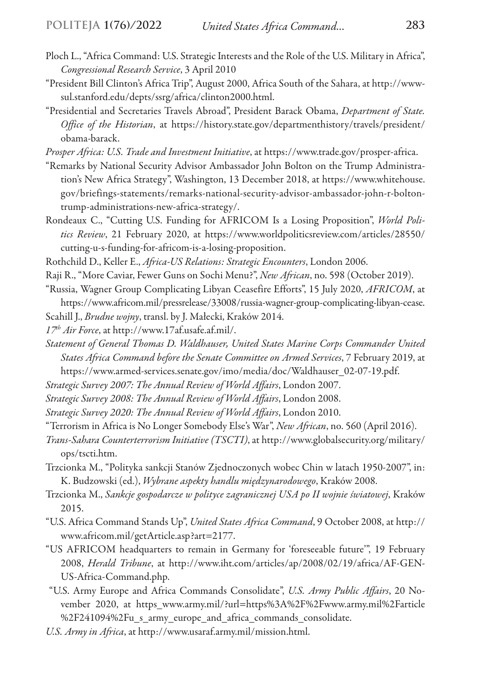- Ploch L., "Africa Command: U.S. Strategic Interests and the Role of the U.S. Military in Africa", *Congressional Research Service*, 3 April 2010
- "President Bill Clinton's Africa Trip", August 2000, Africa South of the Sahara, at http://wwwsul.stanford.edu/depts/ssrg/africa/clinton2000.html.
- "Presidential and Secretaries Travels Abroad", President Barack Obama, *Department of State. Office of the Historian*, at https://history.state.gov/departmenthistory/travels/president/ obama-barack.
- *Prosper Africa: U.S. Trade and Investment Initiative*, at https://www.trade.gov/prosper-africa.
- "Remarks by National Security Advisor Ambassador John Bolton on the Trump Administration's New Africa Strategy", Washington, 13 December 2018, at https://www.whitehouse. gov/briefings-statements/remarks-national-security-advisor-ambassador-john-r-boltontrump-administrations-new-africa-strategy/.
- Rondeaux C., "Cutting U.S. Funding for AFRICOM Is a Losing Proposition", *World Politics Review*, 21 February 2020, at https://www.worldpoliticsreview.com/articles/28550/ cutting-u-s-funding-for-africom-is-a-losing-proposition.
- Rothchild D., Keller E., *Africa-US Relations: Strategic Encounters*, London 2006.
- Raji R., "More Caviar, Fewer Guns on Sochi Menu?", *New African*, no. 598 (October 2019).
- "Russia, Wagner Group Complicating Libyan Ceasefire Efforts", 15 July 2020, *AFRICOM*, at https://www.africom.mil/pressrelease/33008/russia-wagner-group-complicating-libyan-cease.
- Scahill J., *Brudne wojny*, transl. by J. Małecki, Kraków 2014.
- *17th Air Force*, at http://www.17af.usafe.af.mil/.
- *Statement of General Thomas D. Waldhauser, United States Marine Corps Commander United States Africa Command before the Senate Committee on Armed Services*, 7 February 2019, at https://www.armed-services.senate.gov/imo/media/doc/Waldhauser\_02-07-19.pdf.
- *Strategic Survey 2007: The Annual Review of World Affairs*, London 2007.
- *Strategic Survey 2008: The Annual Review of World Affairs*, London 2008.
- *Strategic Survey 2020: The Annual Review of World Affairs*, London 2010.
- "Terrorism in Africa is No Longer Somebody Else's War", *New African*, no. 560 (April 2016).
- *Trans-Sahara Counterterrorism Initiative (TSCTI)*, at http://www.globalsecurity.org/military/ ops/tscti.htm.
- Trzcionka M., "Polityka sankcji Stanów Zjednoczonych wobec Chin w latach 1950-2007", in: K. Budzowski (ed.), *Wybrane aspekty handlu międzynarodowego*, Kraków 2008.
- Trzcionka M., *Sankcje gospodarcze w polityce zagranicznej USA po II wojnie światowej*, Kraków 2015.
- "U.S. Africa Command Stands Up", *United States Africa Command*, 9 October 2008, at http:// www.africom.mil/getArticle.asp?art=2177.
- "US AFRICOM headquarters to remain in Germany for 'foreseeable future'", 19 February 2008, *Herald Tribune*, at http://www.iht.com/articles/ap/2008/02/19/africa/AF-GEN-US-Africa-Command.php.
- "U.S. Army Europe and Africa Commands Consolidate", *U.S. Army Public Affairs*, 20 November 2020, at https\_www.army.mil/?url=https%3A%2F%2Fwww.army.mil%2Farticle %2F241094%2Fu\_s\_army\_europe\_and\_africa\_commands\_consolidate.
- *U.S. Army in Africa*, at http://www.usaraf.army.mil/mission.html.